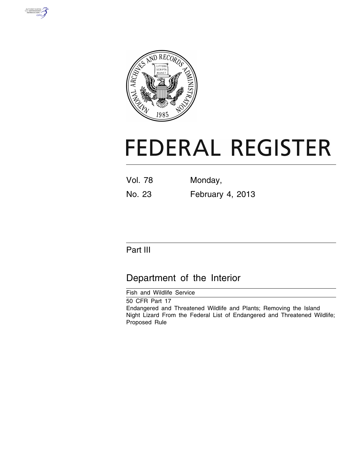



# **FEDERAL REGISTER**

| Vol. 78 | Monday,          |  |
|---------|------------------|--|
| No. 23  | February 4, 2013 |  |

# Part III

# Department of the Interior

Fish and Wildlife Service

50 CFR Part 17 Endangered and Threatened Wildlife and Plants; Removing the Island Night Lizard From the Federal List of Endangered and Threatened Wildlife; Proposed Rule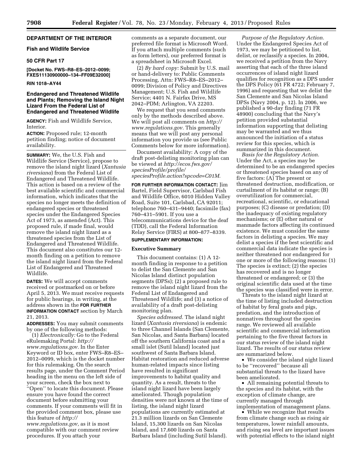# **DEPARTMENT OF THE INTERIOR**

# **Fish and Wildlife Service**

# **50 CFR Part 17**

**[Docket No. FWS–R8–ES–2012–0099; FXES11130900000–134–FF09E32000]** 

#### **RIN 1018–AY44**

# **Endangered and Threatened Wildlife and Plants; Removing the Island Night Lizard From the Federal List of Endangered and Threatened Wildlife**

**AGENCY:** Fish and Wildlife Service, **Interior** 

**ACTION:** Proposed rule; 12-month petition finding; notice of document availability.

**SUMMARY:** We, the U.S. Fish and Wildlife Service (Service), propose to remove the island night lizard (*Xantusia riversiana*) from the Federal List of Endangered and Threatened Wildlife. This action is based on a review of the best available scientific and commercial information, which indicates that the species no longer meets the definition of endangered species or threatened species under the Endangered Species Act of 1973, as amended (Act). This proposed rule, if made final, would remove the island night lizard as a threatened species from the List of Endangered and Threatened Wildlife. This document also constitutes our 12 month finding on a petition to remove the island night lizard from the Federal List of Endangered and Threatened Wildlife.

**DATES:** We will accept comments received or postmarked on or before April 5, 2013. We must receive requests for public hearings, in writing, at the address shown in the **FOR FURTHER INFORMATION CONTACT** section by March 21, 2013.

**ADDRESSES:** You may submit comments by one of the following methods:

(1) *Electronically:* Go to the Federal eRulemaking Portal: *[http://](http://www.regulations.gov) [www.regulations.gov.](http://www.regulations.gov)* In the Enter Keyword or ID box, enter FWS–R8–ES– 2012–0099, which is the docket number for this rulemaking. On the search results page, under the Comment Period heading in the menu on the left side of your screen, check the box next to ''Open'' to locate this document. Please ensure you have found the correct document before submitting your comments. If your comments will fit in the provided comment box, please use this feature of *[http://](http://www.regulations.gov)* 

*[www.regulations.gov,](http://www.regulations.gov)* as it is most compatible with our comment review procedures. If you attach your

comments as a separate document, our preferred file format is Microsoft Word. If you attach multiple comments (such as form letters), our preferred format is a spreadsheet in Microsoft Excel.

(2) *By hard copy:* Submit by U.S. mail or hand-delivery to: Public Comments Processing, Attn: FWS–R8–ES–2012– 0099; Division of Policy and Directives Management; U.S. Fish and Wildlife Service; 4401 N. Fairfax Drive, MS 2042–PDM; Arlington, VA 22203.

We request that you send comments only by the methods described above. We will post all comments on *[http://](http://www.regulations.gov) [www.regulations.gov.](http://www.regulations.gov)* This generally means that we will post any personal information you provide us (see Public Comments below for more information).

Document availability: A copy of the draft post-delisting monitoring plan can be viewed at *[http://ecos.fws.gov/](http://ecos.fws.gov/speciesProfile/profile/speciesProfile.action?spcode=C01M) [speciesProfile/profile/](http://ecos.fws.gov/speciesProfile/profile/speciesProfile.action?spcode=C01M) [speciesProfile.action?spcode=C01M.](http://ecos.fws.gov/speciesProfile/profile/speciesProfile.action?spcode=C01M)* 

**FOR FURTHER INFORMATION CONTACT:** Jim Bartel, Field Supervisor, Carlsbad Fish and Wildlife Office, 6010 Hidden Valley Road, Suite 101, Carlsbad, CA 92011; telephone 760–431–9440; facsimile (fax) 760–431–5901. If you use a telecommunications device for the deaf (TDD), call the Federal Information Relay Service (FIRS) at 800–877–8339.

# **SUPPLEMENTARY INFORMATION:**

# **Executive Summary**

This document contains: (1) A 12 month finding in response to a petition to delist the San Clemente and San Nicolas Island distinct population segments (DPSs); (2) a proposed rule to remove the island night lizard from the Federal List of Endangered and Threatened Wildlife; and (3) a notice of availability of a draft post-delisting monitoring plan.

*Species addressed.* The island night lizard (*Xantusia riversiana*) is endemic to three Channel Islands (San Clemente, San Nicolas, and Santa Barbara) located off the southern California coast and a small islet (Sutil Island) located just southwest of Santa Barbara Island. Habitat restoration and reduced adverse human-related impacts since listing have resulted in significant improvements to habitat quality and quantity. As a result, threats to the island night lizard have been largely ameliorated. Though population densities were not known at the time of listing, the island night lizard populations are currently estimated at 21.3 million lizards on San Clemente Island, 15,300 lizards on San Nicolas Island, and 17,600 lizards on Santa Barbara Island (including Sutil Island).

*Purpose of the Regulatory Action.*  Under the Endangered Species Act of 1973, we may be petitioned to list, delist, or reclassify a species. In 2004, we received a petition from the Navy asserting that each of the three island occurrences of island night lizard qualifies for recognition as a DPS under the DPS Policy (61 FR 4722; February 7, 1996) and requesting that we delist the San Clemente and San Nicolas Island DPSs (Navy 2004, p. 12). In 2006, we published a 90-day finding (71 FR 48900) concluding that the Navy's petition provided substantial information supporting that delisting may be warranted and we thus announced the initiation of a status review for this species, which is summarized in this document.

*Basis for the Regulatory Action.*  Under the Act, a species may be determined to be an endangered species or threatened species based on any of five factors: (A) The present or threatened destruction, modification, or curtailment of its habitat or range; (B) overutilization for commercial, recreational, scientific, or educational purposes; (C) disease or predation; (D) the inadequacy of existing regulatory mechanisms; or (E) other natural or manmade factors affecting its continued existence. We must consider the same factors in delisting a species. We may delist a species if the best scientific and commercial data indicate the species is neither threatened nor endangered for one or more of the following reasons: (1) The species is extinct; (2) the species has recovered and is no longer threatened or endangered; or (3) the original scientific data used at the time the species was classified were in error.

Threats to the island night lizard at the time of listing included destruction of habitat by feral goats and pigs, predation, and the introduction of nonnatives throughout the species range. We reviewed all available scientific and commercial information pertaining to the five threat factors in our status review of the island night lizard. The results of our status review are summarized below.

• We consider the island night lizard to be ''recovered'' because all substantial threats to the lizard have been ameliorated.

• All remaining potential threats to the species and its habitat, with the exception of climate change, are currently managed through implementation of management plans.

• While we recognize that results from climate change such as rising air temperatures, lower rainfall amounts, and rising sea level are important issues with potential effects to the island night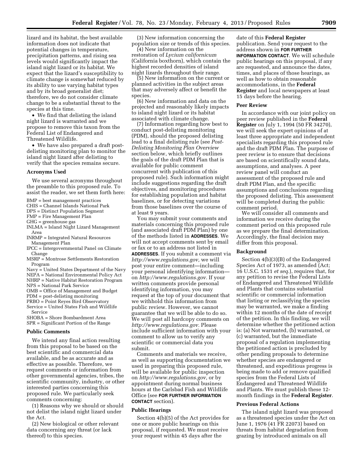lizard and its habitat, the best available information does not indicate that potential changes in temperature, precipitation patterns, and rising sea levels would significantly impact the island night lizard or its habitat. We expect that the lizard's susceptibility to climate change is somewhat reduced by its ability to use varying habitat types and by its broad generalist diet; therefore, we do not consider climate change to be a substantial threat to the species at this time.

• We find that delisting the island night lizard is warranted and we propose to remove this taxon from the Federal List of Endangered and Threatened Wildlife.

• We have also prepared a draft postdelisting monitoring plan to monitor the island night lizard after delisting to verify that the species remains secure.

#### **Acronyms Used**

We use several acronyms throughout the preamble to this proposed rule. To assist the reader, we set them forth here:

- BMP = best management practices
- CHIS = Channel Islands National Park
- DPS = Distinct Population Segment
- FMP = Fire Management Plan
- GHG = greenhouse gas
- INLMA = Island Night Lizard Management Area
- INRMP = Integrated Natural Resources Management Plan
- IPCC = Intergovernmental Panel on Climate Change
- MSRP = Montrose Settlements Restoration Program
- Navy = United States Department of the Navy NEPA = National Environmental Policy Act

NHRP = Native Habitat Restoration Program

- NPS = National Park Service
- OMB = Office of Management and Budget
- PDM = post-delisting monitoring
- PRBO = Point Reyes Bird Observatory

Service = United States Fish and Wildlife Service

SHOBA = Shore Bombardment Area SPR = Significant Portion of the Range

#### **Public Comments**

We intend any final action resulting from this proposal to be based on the best scientific and commercial data available, and be as accurate and as effective as possible. Therefore, we request comments or information from other governmental agencies, tribes, the scientific community, industry, or other interested parties concerning this proposed rule. We particularly seek comments concerning:

(1) Reasons why we should or should not delist the island night lizard under the Act.

(2) New biological or other relevant data concerning any threat (or lack thereof) to this species.

(3) New information concerning the population size or trends of this species.

(4) New information on the restoration of *Lycium californicum*  (California boxthorn), which contain the highest recorded densities of island night lizards throughout their range.

(5) New information on the current or planned activities in the subject areas that may adversely affect or benefit the species.

(6) New information and data on the projected and reasonably likely impacts to island night lizard or its habitat associated with climate change.

(7) Information regarding how best to conduct post-delisting monitoring (PDM), should the proposed delisting lead to a final delisting rule (see *Post-Delisting Monitoring Plan Overview*  section below, which briefly outlines the goals of the draft PDM Plan that is available for public comment concurrent with publication of this proposed rule). Such information might include suggestions regarding the draft objectives, and monitoring procedures for establishing population and habitat baselines, or for detecting variations from those baselines over the course of at least 9 years.

You may submit your comments and materials concerning this proposed rule (and associated draft PDM Plan) by one of the methods listed in **ADDRESSES**. We will not accept comments sent by email or fax or to an address not listed in **ADDRESSES**. If you submit a comment via *[http://www.regulations.gov,](http://www.regulations.gov)* we will post your entire comment—including your personal identifying information on *[http://www.regulations.gov.](http://www.regulations.gov)* If your written comments provide personal identifying information, you may request at the top of your document that we withhold this information from public review. However, we cannot guarantee that we will be able to do so. We will post all hardcopy comments on *[http://www.regulations.gov.](http://www.regulations.gov)* Please include sufficient information with your comment to allow us to verify any scientific or commercial data you submit.

Comments and materials we receive, as well as supporting documentation we used in preparing this proposed rule, will be available for public inspection on *[http://www.regulations.gov,](http://www.regulations.gov)* or by appointment during normal business hours at the Carlsbad Fish and Wildlife Office (see **FOR FURTHER INFORMATION CONTACT** section).

#### **Public Hearings**

Section 4(b)(5) of the Act provides for one or more public hearings on this proposal, if requested. We must receive your request within 45 days after the

date of this **Federal Register**  publication. Send your request to the address shown in **FOR FURTHER INFORMATION CONTACT**. We will schedule public hearings on this proposal, if any are requested, and announce the dates, times, and places of those hearings, as well as how to obtain reasonable accommodations, in the **Federal Register** and local newspapers at least 15 days before the hearing.

#### **Peer Review**

In accordance with our joint policy on peer review published in the **Federal Register** on July 1, 1994 (50 FR 34270), we will seek the expert opinions of at least three appropriate and independent specialists regarding this proposed rule and the draft PDM Plan. The purpose of peer review is to ensure that decisions are based on scientifically sound data, assumptions, and analyses. A peer review panel will conduct an assessment of the proposed rule and draft PDM Plan, and the specific assumptions and conclusions regarding the proposed delisting. This assessment will be completed during the public comment period.

We will consider all comments and information we receive during the comment period on this proposed rule as we prepare the final determination. Accordingly, the final decision may differ from this proposal.

### **Background**

Section 4(b)(3)(B) of the Endangered Species Act of 1973, as amended (Act; 16 U.S.C. 1531 *et seq.*), requires that, for any petition to revise the Federal Lists of Endangered and Threatened Wildlife and Plants that contains substantial scientific or commercial information that listing or reclassifying the species may be warranted, we make a finding within 12 months of the date of receipt of the petition. In this finding, we will determine whether the petitioned action is: (a) Not warranted, (b) warranted, or (c) warranted, but the immediate proposal of a regulation implementing the petitioned action is precluded by other pending proposals to determine whether species are endangered or threatened, and expeditious progress is being made to add or remove qualified species from the Federal Lists of Endangered and Threatened Wildlife and Plants. We must publish these 12 month findings in the **Federal Register**.

#### **Previous Federal Actions**

The island night lizard was proposed as a threatened species under the Act on June 1, 1976 (41 FR 22073) based on threats from habitat degradation from grazing by introduced animals on all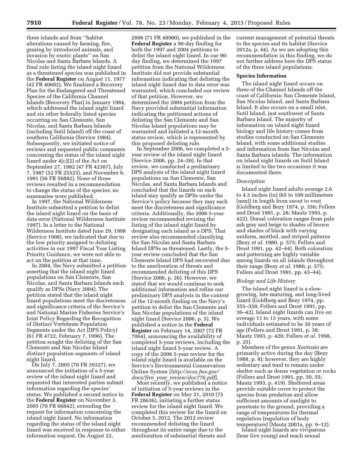three islands and from ''habitat alterations caused by farming, fire, grazing by introduced animals, and invasion by exotic plants'' on San Nicolas and Santa Barbara Islands. A final rule listing the island night lizard as a threatened species was published in the **Federal Register** on August 11, 1977 (42 FR 40682). We finalized a Recovery Plan for the Endangered and Threatened Species of the California Channel Islands (Recovery Plan) in January 1984, which addressed the island night lizard and six other federally listed species occurring on San Clemente, San Nicolas, and Santa Barbara Islands (including Sutil Island) off the coast of southern California (Service 1984). Subsequently, we initiated notice of reviews and requested public comments concerning the status of the island night lizard under 4(c)(2) of the Act on September 27, 1982 (47 FR 42387), July 7, 1987 (52 FR 25523), and November 6, 1991 (56 FR 56882). None of those reviews resulted in a recommendation to change the status of the species; no summaries were published.

In 1997, the National Wilderness Institute submitted a petition to delist the island night lizard on the basis of data error (National Wilderness Institute 1997). In a letter to the National Wilderness Institute dated June 29, 1998 (Service 1998), we indicated that due to the low priority assigned to delisting activities in our 1997 Fiscal Year Listing Priority Guidance, we were not able to act on the petition at that time.

In 2004, the Navy submitted a petition asserting that the island night lizard populations on San Clemente, San Nicolas, and Santa Barbara Islands each qualify as DPSs (Navy 2004). The petition stated that the island night lizard populations meet the discreteness and significance criteria of the Service's and National Marine Fisheries Service's Joint Policy Regarding the Recognition of Distinct Vertebrate Population Segments under the Act (DPS Policy) (61 FR 4722, February 7, 1996). The petition sought the delisting of the San Clemente and San Nicolas Island distinct population segments of island night lizard.

On July 7, 2005 (70 FR 39327), we announced the initiation of a 5-year review of the island night lizard and requested that interested parties submit information regarding the species' status. We published a second notice in the **Federal Register** on November 3, 2005 (70 FR 66842), extending the request for information concerning the island night lizard. No information regarding the status of the island night lizard was received in response to either information request. On August 22,

2006 (71 FR 48900), we published in the **Federal Register** a 90-day finding for both the 1997 and 2004 petitions to delist the island night lizard. In our 90 day finding, we determined the 1997 petition from the National Wilderness Institute did not provide substantial information indicating that delisting the island night lizard due to data error was warranted, which concluded our review of that petition. However, we determined the 2004 petition from the Navy provided substantial information indicating the petitioned actions of delisting the San Clemente and San Nicolas Island populations may be warranted and initiated a 12-month status review, which is represented by this proposed delisting rule.

In September 2006, we completed a 5 year review of the island night lizard (Service 2006, pp. 24–26). In that review, we conducted a preliminary DPS analysis of the island night lizard populations on San Clemente, San Nicolas, and Santa Barbara Islands and concluded that the lizards on each island may qualify as DPSs under the Service's policy because they may each meet the discreteness and significance criteria. Additionally, the 2006 5-year review recommended revising the listing of the island night lizard by designating each island as a DPS. That review also recommended classifying the San Nicolas and Santa Barbara Island DPSs as threatened. Lastly, the 5 year review concluded that the San Clemente Island DPS had recovered due to the amelioration of threats and recommended delisting of this DPS (Service 2006, p. 26). However, we stated that we would continue to seek additional information and refine our preliminary DPS analysis in the context of the 12-month finding on the Navy's petition to delist the San Clemente and San Nicolas populations of the island night lizard (Service 2006, p. 5). We published a notice in the **Federal Register** on February 14, 2007 (72 FR 7064), announcing the availability of completed 5-year reviews, including the island night lizard 5-year review. A copy of the 2006 5-year review for the island night lizard is available on the Service's Environmental Conservation Online System [*[http://ecos.fws.gov/](http://ecos.fws.gov/docs/five_year_review/doc776.pdf) docs/five*\_*year*\_*[review/doc776.pdf](http://ecos.fws.gov/docs/five_year_review/doc776.pdf)*].

Most recently, we published a notice of initiation of 5-year reviews in the **Federal Register** on May 21, 2010 (75 FR 28636), initiating a further status review for the island night lizard. We completed this review for the lizard on October 5, 2012. The 2012 review recommended delisting the lizard throughout its entire range due to the amelioration of substantial threats and

current management of potential threats to the species and its habitat (Service 2012a, p. 44). As we are adopting this recommendation in this finding, we do not further address here the DPS status of the three island populations.

#### **Species Information**

The island night lizard occurs on three of the Channel Islands off the coast of California: San Clemente Island, San Nicolas Island, and Santa Barbara Island. It also occurs on a small islet, Sutil Island, just southwest of Santa Barbara Island. The majority of information on island night lizard biology and life history comes from studies conducted on San Clemente Island, with some additional studies and information from San Nicolas and Santa Barbara islands. The information on island night lizards on Sutil Island is limited to the two occasions it was documented there.

# *Description*

Island night lizard adults average 2.6 to 4.3 inches (in) (65 to 109 millimeters (mm)) in length from snout to vent (Goldberg and Bezy 1974, p. 356; Fellers and Drost 1991, p. 28; Mautz 1993, p. 422). Dorsal coloration ranges from pale ash gray and beige to shades of brown and shades of black with varying uniform, mottled, and striped patterns (Bezy *et al.* 1980, p. 575; Fellers and Drost 1991, pp. 42–44). Both coloration and patterning are highly variable among lizards on all islands throughout their range (Bezy *et al.* 1980, p. 575; Fellers and Drost 1991, pp. 43–44).

# *Biology and Life History*

The island night lizard is a slowgrowing, late-maturing, and long-lived lizard (Goldberg and Bezy 1974, pp. 355–358; Fellers and Drost 1991, pp. 36–42). Island night lizards can live on average 11 to 13 years, with some individuals estimated to be 30 years of age (Fellers and Drost 1991, p. 38; Mautz 1993, p. 420; Fellers *et al.* 1998, p. 25).

Members of the genus *Xantusia* are primarily active during the day (Bezy 1988, p. 8); however, they are highly sedentary and tend to remain under shelter such as dense vegetation or rocks (Fellers and Drost 1991, pp. 50, 55; Mautz 1993, p. 419). Sheltered areas provide suitable cover to protect the species from predation and allow sufficient amounts of sunlight to penetrate to the ground, providing a range of temperatures for thermal regulation (regulation of body temperature) (Mautz 2001a, pp. 9–12).

Island night lizards are viviparous (bear live young) and reach sexual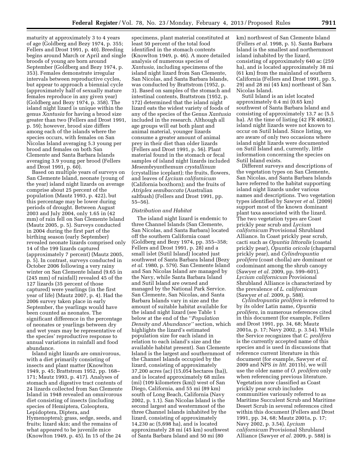maturity at approximately 3 to 4 years of age (Goldberg and Bezy 1974, p. 355; Fellers and Drost 1991, p. 40). Breeding begins around March or April and single broods of young are born around September (Goldberg and Bezy 1974, p. 353). Females demonstrate irregular intervals between reproductive cycles, but appear to approach a biennial cycle (approximately half of sexually mature females reproduce in any given year) (Goldberg and Bezy 1974, p. 358). The island night lizard is unique within the genus *Xantusia* for having a brood size greater than two (Fellers and Drost 1991, p. 59); however, brood size differs among each of the islands where the species occurs, with females on San Nicolas Island averaging 5.3 young per brood and females on both San Clemente and Santa Barbara Islands averaging 3.9 young per brood (Fellers and Drost 1991, p. 60).

Based on multiple years of surveys on San Clemente Island, neonate (young of the year) island night lizards on average comprise about 25 percent of the population (Mautz 1993, p. 422), but this percentage may be lower during periods of drought. Between August 2003 and July 2004, only 1.65 in (42 mm) of rain fell on San Clemente Island (Mautz 2005, p. 5). Surveys conducted in 2004 during the first part of the birthing season (early September) revealed neonate lizards comprised only 14 of the 199 lizards captured (approximately 7 percent) (Mautz 2005, p. 5). In contrast, surveys conducted in October 2006 following a very rainy winter on San Clemente Island (9.65 in (245 mm) of rainfall) revealed 45 of the 127 lizards (35 percent of those captured) were yearlings (in the first year of life) (Mautz 2007, p. 4). Had the 2006 survey taken place in early September, the yearlings would have been counted as neonates. The significant difference in the percentage of neonates or yearlings between dry and wet years may be representative of the species' reproductive response to annual variations in rainfall and food abundance.

Island night lizards are omnivorous, with a diet primarily consisting of insects and plant matter (Knowlton 1949, p. 45; Brattstrom 1952, pp. 168– 171; Mautz 1993, p. 417). Analyses of stomach and digestive tract contents of 24 lizards collected from San Clemente Island in 1948 revealed an omnivorous diet consisting of insects (including species of Hemiptera, Coleoptera, Lepidoptera, Diptera, and Hymenoptera); grass, sedge, seeds, and fruits; lizard skin; and the remains of what appeared to be juvenile mice (Knowlton 1949, p. 45). In 15 of the 24

specimens, plant material constituted at least 50 percent of the total food identified in the stomach contents (Knowlton 1949, p. 46). A more detailed analysis of numerous species of *Xantusia,* including specimens of the island night lizard from San Clemente, San Nicolas, and Santa Barbara Islands, was conducted by Brattstrom (1952, p. 3). Based on samples of the stomach and intestinal contents, Brattstrom (1952, p. 172) determined that the island night lizard eats the widest variety of foods of any of the species of the Genus *Xantusia*  included in the research. Although all age groups will eat both plant and animal material, younger lizards consume a greater amount of animal prey in their diet than older lizards (Fellers and Drost 1991, p. 56). Plant material found in the stomach or fecal samples of island night lizards included *Mesembryanthemum crystallinum*  (crystalline iceplant); the fruits, flowers, and leaves of *Lycium californicum*  (California boxthorn); and the fruits of *Atriplex semibaccata* (Australian saltbush) (Fellers and Drost 1991, pp. 55–56).

### *Distribution and Habitat*

The island night lizard is endemic to three Channel Islands (San Clemente, San Nicolas, and Santa Barbara) located off the southern California coast (Goldberg and Bezy 1974, pp. 355–358; Fellers and Drost 1991, p. 28) and a small islet (Sutil Island) located just southwest of Santa Barbara Island (Bezy *et al.* 1980, p. 579). San Clemente Island and San Nicolas Island are managed by the Navy, while Santa Barbara Island and Sutil Island are owned and managed by the National Park Service. San Clemente, San Nicolas, and Santa Barbara Islands vary in size and the amount of suitable habitat available for the island night lizard (see Table 1 below at the end of the ''*Population Density and Abundance''* section, which highlights the lizard's estimated population size for each island in relation to each island's size and the available habitat present). San Clemente Island is the largest and southernmost of the Channel Islands occupied by the lizard, consisting of approximately 37,200 acres (ac) (15,054 hectares (ha)), and is located approximately 68 miles (mi) (109 kilometers (km)) west of San Diego, California, and 55 mi (89 km) south of Long Beach, California (Navy 2002, p. 1.1). San Nicolas Island is the second largest and westernmost of the three Channel Islands inhabited by the lizard, consisting of approximately 14,230 ac (5,698 ha), and is located approximately 28 mi (45 km) southwest of Santa Barbara Island and 50 mi (80

km) northwest of San Clemente Island (Fellers *et al.* 1998, p. 5). Santa Barbara Island is the smallest and northernmost island inhabited by the lizard, consisting of approximately 640 ac (259 ha), and is located approximately 38 mi (61 km) from the mainland of southern California (Fellers and Drost 1991, pp. 5, 29) and 28 mi (45 km) northeast of San Nicolas Island.

Sutil Island is an islet located approximately 0.4 mi (0.65 km) southwest of Santa Barbara Island and consisting of approximately 13.7 ac (5.5 ha). At the time of listing (42 FR 40682), island night lizards were not known to occur on Sutil Island. Since listing, we are aware of only two occasions where island night lizards were documented on Sutil Island and, currently, little information concerning the species on Sutil Island exists.

Different surveys and descriptions of the vegetation types on San Clemente, San Nicolas, and Santa Barbara Islands have referred to the habitat supporting island night lizards under various names and descriptions. Two vegetation types identified by Sawyer *et al.* (2009) support most of the known dominant plant taxa associated with the lizard. The two vegetation types are Coast prickly pear scrub and *Lycium californicum* Provisional Shrubland Alliance. In Coast prickly pear scrub, cacti such as *Opuntia littoralis* (coastal prickly pear), *Opuntia oricola* (chaparral prickly pear), and *Cylindropuntia prolifera* (coast cholla) are dominant or codominant among the shrub canopy (Sawyer *et al.* 2009, pp. 599–601). *Lycium californicum* Provisional Shrubland Alliance is characterized by the prevalence of *L. californicum*  (Sawyer *et al.* 2009, p. 588).

*Cylindropuntia prolifera* is referred to by its older Latin name, *Opuntia prolifera,* in numerous references cited in this document (for example, Fellers and Drost 1991, pp. 34, 68; Mautz 2001a, p. 17; Navy 2002, p. 3.54). While the Service recognizes that *C. prolifera*  is the currently accepted name of this species and is used in discussions that reference current literature in this document (for example, Sawyer *et al.*  2009 and NPS *in litt.* 2011b), we will use the older name of *O. prolifera* only when referencing previous literature. Vegetation now classified as Coast prickly pear scrub includes communities variously referred to as Maritime Succulent Scrub and Maritime Desert Scrub in several references cited within this document (Fellers and Drost 1991, pp. 34, 68; Mautz 2001a, p. 17; Navy 2002, p. 3.54). *Lycium californicum* Provisional Shrubland Alliance (Sawyer *et al.* 2009, p. 588) is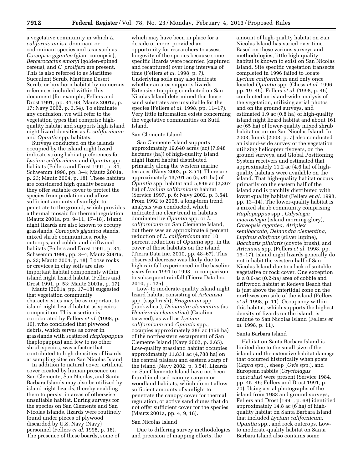a vegetative community in which *L. californicum* is a dominant or codominant species and taxa such as *Coreopsis gigantea* (giant coreopsis), *Bergerocactus emoryi* (golden-spined cereus), and *C. prolifera* are present. This is also referred to as Maritime Succulent Scrub, Maritime Desert Scrub, or boxthorn habitat by numerous references included within this document (for example, Fellers and Drost 1991, pp. 34, 68; Mautz 2001a, p. 17; Navy 2002, p. 3.54). To eliminate any confusion, we will refer to the vegetation types that comprise highquality habitat and supports high island night lizard densities as *L. californicum*  and *Opuntia* spp. habitats.

Surveys conducted on the islands occupied by the island night lizard indicate strong habitat preferences for *Lycium californicum* and *Opuntia* spp. habitats (Fellers and Drost 1991, p. 34; Schwemm 1996, pp. 3–4; Mautz 2001a, p. 23; Mautz 2004, p. 18). These habitats are considered high quality because they offer suitable cover to protect the species from predation and allow sufficient amounts of sunlight to penetrate to the ground, which provides a thermal mosaic for thermal regulation (Mautz 2001a, pp. 9–11, 17–18). Island night lizards are also known to occupy grasslands, *Coreopsis gigantea* stands, mixed shrub communities, rocky outcrops, and cobble and driftwood habitats (Fellers and Drost 1991, p. 34; Schwemm 1996, pp. 3–4; Mautz 2001a, p. 23; Mautz 2004, p. 18). Loose rocks or crevices in clay soils are also important habitat components within island night lizard habitat (Fellers and Drost 1991, p. 53; Mautz 2001a, p. 17).

Mautz (2001a, pp. 17–18) suggested that vegetation community characteristics may be as important to island night lizard habitat as species composition. This assertion is corroborated by Fellers *et al.* (1998, p. 16), who concluded that plywood debris, which serves as cover in grasslands with scattered *Haplopappus*  (haplopappus) and few to no other shrub species, was a factor that contributed to high densities of lizards at sampling sites on San Nicolas Island.

In addition to natural cover, artificial cover created by human presence on San Clemente, San Nicolas, and Santa Barbara Islands may also be utilized by island night lizards, thereby enabling them to persist in areas of otherwise unsuitable habitat. During surveys for the species on San Clemente and San Nicolas Islands, lizards were routinely found under pieces of plywood discarded by U.S. Navy (Navy) personnel (Fellers *et al.* 1998, p. 18). The presence of these boards, some of

which may have been in place for a decade or more, provided an opportunity for researchers to assess longevity of the species because some specific lizards were recorded (captured and recaptured) over long intervals of time (Fellers *et al.* 1998, p. 7). Underlying soils may also indicate whether an area supports lizards. Extensive trapping conducted on San Nicolas Island determined that loose sand substrates are unsuitable for the species (Fellers *et al.* 1998, pp. 11–17). Very little information exists concerning the vegetative communities on Sutil Island.

#### San Clemente Island

San Clemente Island supports approximately 19,640 acres (ac) (7,948 hectares (ha)) of high-quality island night lizard habitat distributed primarily along the western marine terraces (Navy 2002, p. 3.54). There are approximately 13,791 ac (5,581 ha) of *Opuntia* spp. habitat and 5,849 ac (2,367 ha) of *Lycium californicum* habitat (Service 1997, p. 6; Navy 2002, p. 3.54). From 1992 to 2008, a long-term trend analysis was conducted, which indicated no clear trend in habitats dominated by *Opuntia* spp. or *L. californicum* on San Clemente Island, but there was an approximate 6 percent reduction of *L. californicum* and 10 percent reduction of *Opuntia* spp. in the cover of those habitats on the island (Tierra Data Inc. 2010, pp. 48–67). This observed decrease was likely due to high rainfall experienced in the baseline years from 1991 to 1993, in comparison to subsequent rainfall (Tierra Data Inc. 2010, p. 125).

Low- to moderate-quality island night lizard habitat consisting of *Artemisia*  spp. (sagebrush), *Eriogonum* spp. (buckwheat), *Deinandra clementina* (as *Hemizonia clementina*) (Catalina tarweed), as well as *Lycium californicum* and *Opuntia* spp., occupies approximately 386 ac (156 ha) of the northeastern escarpment of San Clemente Island (Navy 2002, p. 3.65). Low-quality grassland habitat occupies approximately 11,831 ac (4,788 ha) on the central plateau and eastern scarp of the island (Navy 2002, p. 3.54). Lizards on San Clemente Island have not been found in closed-canopy canyon or woodland habitats, which do not allow sufficient amounts of sunlight to penetrate the canopy cover for thermal regulation, or active sand dunes that do not offer sufficient cover for the species (Mautz 2001a, pp. 4, 9, 18).

#### San Nicolas Island

Due to differing survey methodologies and precision of mapping efforts, the

amount of high-quality habitat on San Nicolas Island has varied over time. Based on these various surveys and methodologies, little high-quality habitat is known to exist on San Nicolas Island. Site specific vegetation transects completed in 1996 failed to locate *Lycium californicum* and only once located *Opuntia* spp. (Chess *et al.* 1996, pp. 19–46). Fellers *et al.* (1998, p. 46) conducted an island-wide analysis of the vegetation, utilizing aerial photos and on the ground surveys, and estimated 1.9 ac (0.8 ha) of high-quality island night lizard habitat and about 161 ac (65 ha) of lower-quality mixed shrub habitat occur on San Nicolas Island. In 2003, Junak (2003, p. 7) also conducted an island-wide survey of the vegetation utilizing helicopter flyovers, on the ground surveys, and Global Positioning System receivers and estimated that approximately 11.2 ac (4.6 ha) of highquality habitats were available on the island. That high-quality habitat occurs primarily on the eastern half of the island and is patchily distributed with lower-quality habitat (Fellers *et al.* 1998, pp. 13–14). The lower-quality habitat is a mixed shrub community comprising *Haplopappus* spp., *Calystegia macrostegia* (island morning-glory), *Coreopsis gigantea, Atriplex semibaccata, Deinandra clementina, Lupinus albifrons* (silver lupine), *Baccharis pilularis* (coyote brush), and *Artemisia* spp. (Fellers *et al.* 1998, pp. 16–17). Island night lizards generally do not inhabit the western half of San Nicolas Island due to a lack of suitable vegetative or rock cover. One exception is a 0.6-ac (0.2-ha) area of cobble and driftwood habitat at Redeye Beach that is just above the intertidal zone on the northwestern side of the island (Fellers *et al.* 1998, p. 11). Occupancy within this habitat, which supports the highest density of lizards on the island, is unique to San Nicolas Island (Fellers *et al.* 1998, p. 11).

#### Santa Barbara Island

Habitat on Santa Barbara Island is limited due to the small size of the island and the extensive habitat damage that occurred historically when goats (*Capra* spp.), sheep (*Ovis* spp.), and European rabbits (*Oryctolagus cuniculus*) were present (Service 1984, pp. 45–46; Fellers and Drost 1991, p. 70). Using aerial photographs of the island from 1983 and ground surveys, Fellers and Drost (1991, p. 68) identified approximately 14.8 ac (6 ha) of highquality habitat on Santa Barbara Island that included *Lycium californicum, Opuntia* spp., and rock outcrops. Lowto moderate-quality habitat on Santa Barbara Island also contains some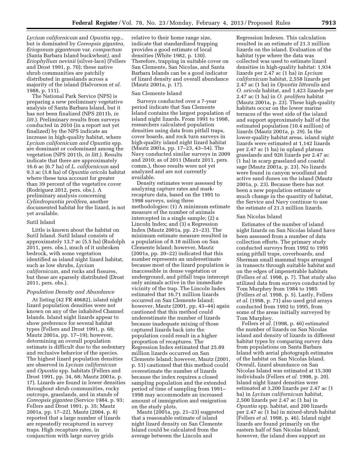*Lycium californicum* and *Opuntia* spp., but is dominated by *Coreopsis gigantea, Eriogonum giganteum* var. *compactum*  (Santa Barbara Island buckwheat*),* and *Eriophyllum nevinii* (silver-lace) (Fellers and Drost 1991, p. 70); these native shrub communities are patchily distributed in grasslands across a majority of the island (Halvorson *et al.*  1988, p. 111).

The National Park Service (NPS) is preparing a new preliminary vegetative analysis of Santa Barbara Island, but it has not been finalized (NPS 2011b, *in litt.*). Preliminary results from surveys conducted in 2010 (in a report not yet finalized) by the NPS indicate an increase in high-quality habitat, where *Lycium californicum and Opuntia* spp. are dominant or codominant among the vegetation (NPS 2011b, *in litt.*). Results indicate that there are approximately 16.6 ac (6.7 ha) of *L. californicum* and 9.3 ac (3.8 ha) of *Opuntia oricola* habitat where these taxa account for greater than 39 percent of the vegetative cover (Rodriguez 2012, pers. obs.). A preliminary analysis concerning *Cylindropuntia prolifera,* another documented habitat for the lizard, is not yet available.

### Sutil Island

Little is known about the habitat on Sutil Island. Sutil Island consists of approximately 13.7 ac (5.5 ha) (Rudolph 2011, pers. obs.), much of it unbroken bedrock, with some vegetation identified as island night lizard habitat, such as low shrubs, *Lycium californicum,* and rocks and fissures, but these are sparsely distributed (Drost 2011, pers. obs.).

#### *Population Density and Abundance*

At listing (42 FR 40682), island night lizard population densities were not known on any of the inhabited Channel Islands. Island night lizards appear to show preference for several habitat types (Fellers and Drost 1991, p. 68; Mautz 2001a, pp. 17–19); however, determining an overall population estimate is difficult due to the sedentary and reclusive behavior of the species. The highest lizard population densities are observed in *Lycium californicum*  and *Opuntia* spp. habitats (Fellers and Drost 1991, pp. 34, 68; Mautz 2001a, p. 17). Lizards are found in lower densities throughout shrub communities, rocky outcrops, grasslands, and in stands of *Coreopsis gigantea* (Service 1984, p. 93; Fellers and Drost 1991, p. 35; Mautz 2001a, pp. 17–22). Mautz (2004, p. 8) reported that a large number of lizards are repeatedly recaptured in survey traps. High recapture rates, in conjunction with large survey grids

relative to their home range size, indicate that standardized trapping provides a good estimate of local densities (White 1982, p. 130). Therefore, trapping in suitable cover on San Clemente, San Nicolas, and Santa Barbara Islands can be a good indicator of lizard density and overall abundance (Mautz 2001a, p. 17).

#### San Clemente Island

Surveys conducted over a 7-year period indicate that San Clemente Island contains the largest population of island night lizards. From 1991 to 1998, researchers calculated population densities using data from pitfall traps, cover boards, and rock turn surveys in high-quality island night lizard habitat (Mautz 2001a, pp. 17–23, 43–54). The Navy conducted similar surveys in 2009 and 2010; as of 2011 (Mautz 2011, pers. comm.), those results were not yet analyzed and are not currently available.

Density estimates were assessed by analyzing capture rates and markrecapture data, based on the 1991 to 1998 surveys, using three methodologies: (1) A minimum estimate measure of the number of animals intercepted in a single sample; (2) a Lincoln Index; and (3) a Regression Index (Mautz 2001a, pp. 21–23). The minimum estimate measure resulted in a population of 8.18 million on San Clemente Island; however, Mautz (2001a, pp. 20–22) indicated that this number represents an underestimate because most of the lizard population is inaccessible in dense vegetation or underground, and pitfall traps intercept only animals active in the immediate vicinity of the trap. The Lincoln Index estimated that 16.71 million lizards occurred on San Clemente Island; however, Mautz (2001, pp. 43–44) again cautioned that this method could underestimate the number of lizards because inadequate mixing of those captured lizards back into the population could result in a higher proportion of recaptures. The Regression Index estimated that 25.89 million lizards occurred on San Clemente Island; however, Mautz (2001, p. 51) cautioned that this method could overestimate the number of lizards because the index requires a closed sampling population and the extended period of time of sampling from 1991– 1998 may accommodate an increased amount of immigration and emigration on the study plots.

Mautz (2001a, pp. 21–23) suggested that a reasonable estimate of island night lizard density on San Clemente Island could be calculated from the average between the Lincoln and

Regression Indexes. This calculation resulted in an estimate of 21.3 million lizards on the island. Evaluation of the habitat type where the data was collected was used to estimate lizard densities in high-quality habitat: 1,934 lizards per 2.47 ac (1 ha) in *Lycium californicum* habitat, 2,558 lizards per 2.47 ac (1 ha) in *Opuntia littoralis* and *O. oricola* habitat, and 1,423 lizards per 2.47 ac (1 ha) in *O. prolifera* habitat (Mautz 2001a, p. 23). These high-quality habitats occur on the lower marine terraces of the west side of the island and support approximately half of the estimated population (10.4 million) of lizards (Mautz 2001a, p. 29). In the lower-quality habitat areas, island night lizards were estimated at 1,142 lizards per 2.47 ac (1 ha) in upland plateau grasslands and 926 lizards per 2.47 ac (1 ha) in scarp grassland and coastal sage (Mautz 2001a, p. 23). No lizards were found in canyon woodland and active sand dunes on the island (Mautz 2001a, p. 23). Because there has not been a new population estimate or much change in the quantity of habitat, the Service and Navy continue to use the estimate of 21.3 million lizards.

#### San Nicolas Island

Estimates of the number of island night lizards on San Nicolas Island have been assessed from a number of data collection efforts. The primary study conducted surveys from 1992 to 1995 using pitfall traps, coverboards, and Sherman small mammal traps arranged in transects through suitable habitat and on the edges of impenetrable habitats (Fellers *et al.* 1998, p. 7). That study also utilized data from surveys conducted by Tom Murphey from 1984 to 1985 (Fellers *et al.* 1998, p. 5). Lastly, Fellers *et al.* (1998, p. 71) also used grid arrays conducted from 1992 to 1995, from some of the areas initially surveyed by Tom Murphey.

Fellers *et al.* (1998, p. 46) estimated the number of lizards on San Nicolas island and density of lizards in different habitat types by comparing survey data from populations on Santa Barbara Island with aerial photograph estimates of the habitat on San Nicolas Island. Overall, lizard abundance on San Nicolas Island was estimated at 15,300 individuals (Fellers *et al.* 1998, p. 20). Island night lizard densities were estimated at 3,200 lizards per 2.47 ac (1 ha) in *Lycium californicum* habitat, 2,500 lizards per 2.47 ac (1 ha) in *Opuntia* spp. habitat, and 200 lizards per 2.47 ac (1 ha) in mixed-shrub habitat (Fellers *et al.* 1998, p. 46). Island night lizards are found primarily on the eastern half of San Nicolas Island; however, the island does support an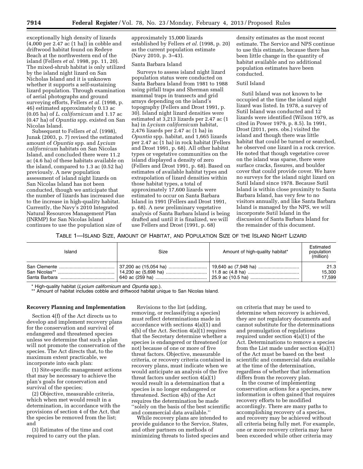exceptionally high density of lizards (4,000 per 2.47 ac (1 ha)) in cobble and driftwood habitat found on Redeye Beach at the northwestern end of the island (Fellers *et al.* 1998, pp. 11, 20). The mixed-shrub habitat is only utilized by the island night lizard on San Nicholas Island and it is unknown whether it supports a self-sustaining lizard population. Through examination of aerial photographs and ground surveying efforts, Fellers *et al.* (1998, p. 46) estimated approximately 0.13 ac (0.05 ha) of *L. californicum* and 1.17 ac (0.47 ha) of *Opuntia* spp. existed on San Nicolas Island.

Subsequent to Fellers *et al.* (1998), Junak (2003, p. 7) revised the estimated amount of *Opuntia* spp. and *Lycium californicum* habitats on San Nicolas Island, and concluded there were 11.2 ac (4.6 ha) of these habitats available on the island, compared to 1.3 ac (0.52 ha) previously. A new population assessment of island night lizards on San Nicolas Island has not been conducted, though we anticipate that the number of lizards has increased due to the increase in high-quality habitat. Currently, the Navy's 2010 Integrated Natural Resources Management Plan (INRMP) for San Nicolas Island continues to use the population size of

approximately 15,000 lizards established by Fellers *et al.* (1998, p. 20) as the current population estimate (Navy 2010, p. 3–43).

# Santa Barbara Island

Surveys to assess island night lizard population status were conducted on Santa Barbara Island from 1981 to 1988 using pitfall traps and Sherman small mammal traps in transects and grid arrays depending on the island's topography (Fellers and Drost 1991, p. 30). Island night lizard densities were estimated at 3,213 lizards per 2.47 ac (1 ha) in *Lycium californicum* habitat, 2,476 lizards per 2.47 ac (1 ha) in *Opuntia* spp. habitat, and 1,665 lizards per 2.47 ac (1 ha) in rock habitat (Fellers and Drost 1991, p. 68). All other habitat types or vegetative communities on the island displayed a density of zero (Fellers and Drost 1991, p. 68). Based on estimates of available habitat types and extrapolation of lizard densities within those habitat types, a total of approximately 17,600 lizards were estimated to occur on Santa Barbara Island in 1991 (Fellers and Drost 1991, p. 68). A new preliminary vegetative analysis of Santa Barbara Island is being drafted and until it is finalized, we will use Fellers and Drost (1991, p. 68)

density estimates as the most recent estimate. The Service and NPS continue to use this estimate, because there has been little change in the quantity of habitat available and no additional population estimates have been conducted.

#### Sutil Island

Sutil Island was not known to be occupied at the time the island night lizard was listed. In 1978, a survey of Sutil Island was conducted and 12 lizards were identified (Wilson 1979, as cited in Power 1979, p. 8.5). In 1991, Drost (2011, pers. obs.) visited the island and though there was little habitat that could be turned or searched, he observed one lizard in a rock crevice. He noted that though vegetative cover on the island was sparse, there were surface cracks, fissures, and boulder cover that could provide cover. We have no surveys for the island night lizard on Sutil Island since 1978. Because Sutil Island is within close proximity to Santa Barbara Island, has very few to no visitors annually, and like Santa Barbara Island is managed by the NPS, we will incorporate Sutil Island in the discussion of Santa Barbara Island for the remainder of this document.

TABLE 1—ISLAND SIZE, AMOUNT OF HABITAT, AND POPULATION SIZE OF THE ISLAND NIGHT LIZARD

| Island | Size                                                                                                                                                                                                                                                                                                   | Amount of high-quality habitat* | Estimated<br>population<br>(million) |
|--------|--------------------------------------------------------------------------------------------------------------------------------------------------------------------------------------------------------------------------------------------------------------------------------------------------------|---------------------------------|--------------------------------------|
|        | San Clemente ………………………………………   37,200 ac (15,054 ha) ………………………   19,640 ac (7,948 ha) …………………………<br>San Nicolas** ………………………………………   14,230 ac (5,698 ha) …………………………   11.8 ac (4.8 ha) …………………………………<br>Santa Barbara ………………………………………   640 ac (259 ha) …………………………………   25.9 ac (10.5 ha) ……………………………… |                                 | 21.3<br>15,300<br>17,599             |

\* High-quality habitat (*Lycium californicum* and *Opuntia* spp.).

\*\* Amount of habitat includes cobble and driftwood habitat unique to San Nicolas Island.

#### **Recovery Planning and Implementation**

Section 4(f) of the Act directs us to develop and implement recovery plans for the conservation and survival of endangered and threatened species unless we determine that such a plan will not promote the conservation of the species. The Act directs that, to the maximum extent practicable, we incorporate into each plan:

(1) Site-specific management actions that may be necessary to achieve the plan's goals for conservation and survival of the species;

(2) Objective, measurable criteria, which when met would result in a determination, in accordance with the provisions of section 4 of the Act, that the species be removed from the list; and

(3) Estimates of the time and cost required to carry out the plan.

Revisions to the list (adding, removing, or reclassifying a species) must reflect determinations made in accordance with sections 4(a)(1) and 4(b) of the Act. Section 4(a)(1) requires that the Secretary determine whether a species is endangered or threatened (or not) because of one or more of five threat factors. Objective, measurable criteria, or recovery criteria contained in recovery plans, must indicate when we would anticipate an analysis of the five threat factors under section 4(a)(1) would result in a determination that a species is no longer endangered or threatened. Section 4(b) of the Act requires the determination be made ''solely on the basis of the best scientific and commercial data available.''

While recovery plans are intended to provide guidance to the Service, States, and other partners on methods of minimizing threats to listed species and

on criteria that may be used to determine when recovery is achieved, they are not regulatory documents and cannot substitute for the determinations and promulgation of regulations required under section 4(a)(1) of the Act. Determinations to remove a species from the List made under section 4(a)(1) of the Act must be based on the best scientific and commercial data available at the time of the determination, regardless of whether that information differs from the recovery plan.

In the course of implementing conservation actions for a species, new information is often gained that requires recovery efforts to be modified accordingly. There are many paths to accomplishing recovery of a species, and recovery may be achieved without all criteria being fully met. For example, one or more recovery criteria may have been exceeded while other criteria may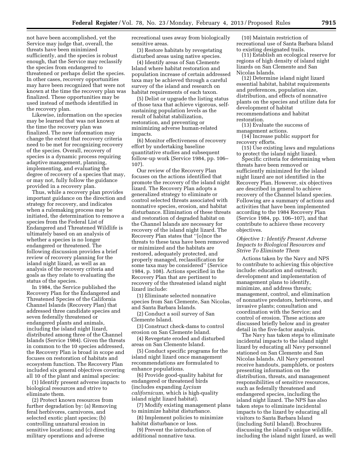not have been accomplished, yet the Service may judge that, overall, the threats have been minimized sufficiently, and the species is robust enough, that the Service may reclassify the species from endangered to threatened or perhaps delist the species. In other cases, recovery opportunities may have been recognized that were not known at the time the recovery plan was finalized. These opportunities may be used instead of methods identified in the recovery plan.

Likewise, information on the species may be learned that was not known at the time the recovery plan was finalized. The new information may change the extent that recovery criteria need to be met for recognizing recovery of the species. Overall, recovery of species is a dynamic process requiring adaptive management, planning, implementing, and evaluating the degree of recovery of a species that may, or may not, fully follow the guidance provided in a recovery plan.

Thus, while a recovery plan provides important guidance on the direction and strategy for recovery, and indicates when a rulemaking process may be initiated, the determination to remove a species from the Federal List of Endangered and Threatened Wildlife is ultimately based on an analysis of whether a species is no longer endangered or threatened. The following discussion provides a brief review of recovery planning for the island night lizard, as well as an analysis of the recovery criteria and goals as they relate to evaluating the status of the species.

In 1984, the Service published the Recovery Plan for the Endangered and Threatened Species of the California Channel Islands (Recovery Plan) that addressed three candidate species and seven federally threatened or endangered plants and animals, including the island night lizard, distributed among three of the Channel Islands (Service 1984). Given the threats in common to the 10 species addressed, the Recovery Plan is broad in scope and focuses on restoration of habitats and ecosystem function. The Recovery Plan included six general objectives covering all 10 of the plant and animal species:

(1) Identify present adverse impacts to biological resources and strive to eliminate them.

(2) Protect known resources from further degradation by: (a) Removing feral herbivores, carnivores, and selected exotic plant species; (b) controlling unnatural erosion in sensitive locations; and (c) directing military operations and adverse

recreational uses away from biologically sensitive areas.

(3) Restore habitats by revegetating disturbed areas using native species.

(4) Identify areas of San Clemente Island where habitat restoration and population increase of certain addressed taxa may be achieved through a careful survey of the island and research on habitat requirements of each taxon.

(5) Delist or upgrade the listing status of those taxa that achieve vigorous, selfsustaining population levels as the result of habitat stabilization, restoration, and preventing or minimizing adverse human-related impacts.

(6) Monitor effectiveness of recovery effort by undertaking baseline quantitative studies and subsequent follow-up work (Service 1984, pp. 106– 107).

Our review of the Recovery Plan focuses on the actions identified that promote the recovery of the island night lizard. The Recovery Plan adopts a generalized strategy to eliminate or control selected threats associated with nonnative species, erosion, and habitat disturbance. Elimination of these threats and restoration of degraded habitat on the Channel Islands are necessary for recovery of the island night lizard. The Recovery Plan states that ''[o]nce the threats to these taxa have been removed or minimized and the habitats are restored, adequately protected, and properly managed, reclassification for some taxa may be considered'' (Service 1984, p. 108). Actions specified in the Recovery Plan that are pertinent to recovery of the threatened island night lizard include:

(1) Eliminate selected nonnative species from San Clemente, San Nicolas, and Santa Barbara Islands.

(2) Conduct a soil survey of San Clemente Island.

(3) Construct check-dams to control erosion on San Clemente Island.

(4) Revegetate eroded and disturbed areas on San Clemente Island.

(5) Conduct specific programs for the island night lizard once management recommendations are formulated to enhance populations.

(6) Provide good-quality habitat for endangered or threatened birds (includes expanding *Lycium californicum,* which is high-quality island night lizard habitat).

(7) Modify existing management plans to minimize habitat disturbance.

(8) Implement policies to minimize habitat disturbance or loss.

(9) Prevent the introduction of additional nonnative taxa.

(10) Maintain restriction of recreational use of Santa Barbara Island to existing designated trails.

(11) Establish an ecological reserve for regions of high density of island night lizards on San Clemente and San Nicolas Islands.

(12) Determine island night lizard essential habitat, habitat requirements and preferences, population size, distribution, and effects of nonnative plants on the species and utilize data for development of habitat recommendations and habitat restoration.

(13) Evaluate the success of management actions.

(14) Increase public support for recovery efforts.

(15) Use existing laws and regulations to protect the island night lizard.

Specific criteria for determining when threats have been removed or sufficiently minimized for the island night lizard are not identified in the Recovery Plan. However, six objectives are described in general to achieve recovery of the Channel Island species. Following are a summary of actions and activities that have been implemented according to the 1984 Recovery Plan (Service 1984, pp. 106–107), and that contribute to achieve these recovery objectives.

# *Objective 1: Identify Present Adverse Impacts to Biological Resources and Strive To Eliminate Them*

Actions taken by the Navy and NPS to contribute to achieving this objective include: education and outreach; development and implementation of management plans to identify, minimize, and address threats; management, control, and elimination of nonnative predators, herbivores, and invasive plants; consultation and coordination with the Service; and control of erosion. These actions are discussed briefly below and in greater detail in the five-factor analysis.

The Navy has taken steps to eliminate incidental impacts to the island night lizard by educating all Navy personnel stationed on San Clemente and San Nicolas Islands. All Navy personnel receive handouts, pamphlets, or posters presenting information on the distribution, threats, and management responsibilities of sensitive resources, such as federally threatened and endangered species, including the island night lizard. The NPS has also taken steps to eliminate incidental impacts to the lizard by educating all visitors to Santa Barbara Island (including Sutil Island). Brochures discussing the island's unique wildlife, including the island night lizard, as well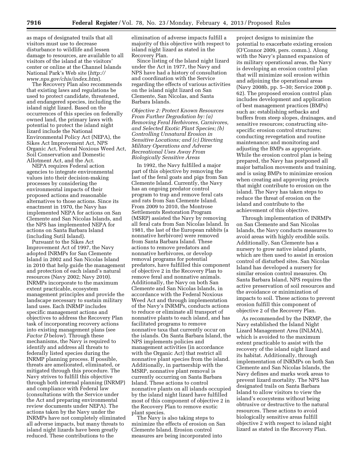as maps of designated trails that all visitors must use to decrease disturbance to wildlife and lessen damage to resources, are available to all visitors of the island at the visitors' center or online at the Channel Islands National Park's Web site (*[http://](http://www.nps.gov/chis/index.htm)  [www.nps.gov/chis/index.htm](http://www.nps.gov/chis/index.htm)*).

The Recovery Plan also recommends that existing laws and regulations be used to protect candidate, threatened, and endangered species, including the island night lizard. Based on the occurrences of this species on federally owned land, the primary laws with potential to protect the island night lizard include the National Environmental Policy Act (NEPA), the Sikes Act Improvement Act, NPS Organic Act, Federal Noxious Weed Act, Soil Conservation and Domestic Allotment Act, and the Act.

NEPA requires Federal action agencies to integrate environmental values into their decision-making processes by considering the environmental impacts of their proposed actions and reasonable alternatives to those actions. Since its enactment in 1970, the Navy has implemented NEPA for actions on San Clemente and San Nicolas Islands, and the NPS has implemented NEPA for actions on Santa Barbara Island (including Sutil Island).

Pursuant to the Sikes Act Improvement Act of 1997, the Navy adopted INRMPs for San Clemente Island in 2002 and San Nicolas Island in 2010 that help guide the management and protection of each island's natural resources (Navy 2002; Navy 2010). INRMPs incorporate to the maximum extent practicable, ecosystem management principles and provide the landscape necessary to sustain military land uses. Each INRMP includes specific management actions and objectives to address the Recovery Plan task of incorporating recovery actions into existing management plans (see *Factor D* below). Through these mechanisms, the Navy is required to identify and address all threats to federally listed species during the INRMP planning process. If possible, threats are ameliorated, eliminated, or mitigated through this procedure. The Navy strives to fulfill this objective through both internal planning (INRMP) and compliance with Federal law (consultations with the Service under the Act and preparing environmental review documents under NEPA). The actions taken by the Navy under the INRMPs have not completely eliminated all adverse impacts, but many threats to island night lizards have been greatly reduced. These contributions to the

elimination of adverse impacts fulfill a majority of this objective with respect to island night lizard as stated in the Recovery Plan.

Since listing of the Island night lizard under the Act in 1977, the Navy and NPS have had a history of consultation and coordination with the Service regarding the effects of various activities on the island night lizard on San Clemente, San Nicolas, and Santa Barbara Islands.

*Objective 2: Protect Known Resources From Further Degradation by: (a) Removing Feral Herbivores, Carnivores, and Selected Exotic Plant Species; (b) Controlling Unnatural Erosion in Sensitive Locations; and (c) Directing Military Operations and Adverse Recreational Uses Away From Biologically Sensitive Areas* 

In 1992, the Navy fulfilled a major part of this objective by removing the last of the feral goats and pigs from San Clemente Island. Currently, the Navy has an ongoing predator control program to trap and remove feral cats and rats from San Clemente Island. From 2009 to 2010, the Montrose Settlements Restoration Program (MSRP) assisted the Navy by removing all feral cats from San Nicolas Island. In 1981, the last of the European rabbits (a nonnative herbivore) were removed from Santa Barbara Island. These actions to remove predators and nonnative herbivores, or develop removal programs for potential predators, have fulfilled this component of objective 2 in the Recovery Plan to remove feral and nonnative animals. Additionally, the Navy on both San Clemente and San Nicolas Islands, in accordance with the Federal Noxious Weed Act and through implementation of the Navy's INRMPs, conducts actions to reduce or eliminate all transport of nonnative plants to each island, and has facilitated programs to remove nonnative taxa that currently occur on the islands. On Santa Barbara Island, the NPS implements policies and management activities (in accordance with the Organic Act) that restrict all nonnative plant species from the island. Additionally, in partnership with the MSRP, nonnative plant removal is currently occurring on Santa Barbara Island. These actions to control nonnative plants on all islands occupied by the island night lizard have fulfilled most of this component of objective 2 in the Recovery Plan to remove exotic plant species.

The Navy is also taking steps to minimize the effects of erosion on San Clemente Island. Erosion control measures are being incorporated into

project designs to minimize the potential to exacerbate existing erosion (O'Connor 2009, pers. comm.). Along with the Navy's planned expansion of its military operational areas, the Navy is developing an erosion control plan that will minimize soil erosion within and adjoining the operational areas (Navy 2008b, pp. 5–30; Service 2008 p. 62). The proposed erosion control plan includes development and application of best management practices (BMPs) such as: establishing setbacks and buffers from steep slopes, drainages, and sensitive resources; constructing sitespecific erosion control structures; conducting revegetation and routine maintenance; and monitoring and adjusting the BMPs as appropriate. While the erosion control plan is being prepared, the Navy has postponed all major battalion movements and training, and is using BMPs to minimize erosion when creating and approving projects that might contribute to erosion on the island. The Navy has taken steps to reduce the threat of erosion on the island and contribute to the achievement of this objective.

Through implementation of INRMPs on San Clemente and San Nicolas Islands, the Navy conducts measures to avoid areas with highly erodible soils. Additionally, San Clemente has a nursery to grow native island plants, which are then used to assist in erosion control of disturbed sites. San Nicolas Island has developed a nursery for similar erosion control measures. On Santa Barbara Island, NPS requires the active preservation of soil resources and the avoidance or minimization of impacts to soil. These actions to prevent erosion fulfill this component of objective 2 of the Recovery Plan.

As recommended by the INRMP, the Navy established the Island Night Lizard Management Area (INLMA), which is avoided to the maximum extent practicable to assist with the recovery of the island night lizard and its habitat. Additionally, through implementation of INRMPs on both San Clemente and San Nicolas Islands, the Navy defines and marks work areas to prevent lizard mortality. The NPS has designated trails on Santa Barbara Island to allow visitors to view the island's ecosystems without being obtrusive or destructive to the natural resources. These actions to avoid biologically sensitive areas fulfill objective 2 with respect to island night lizard as stated in the Recovery Plan.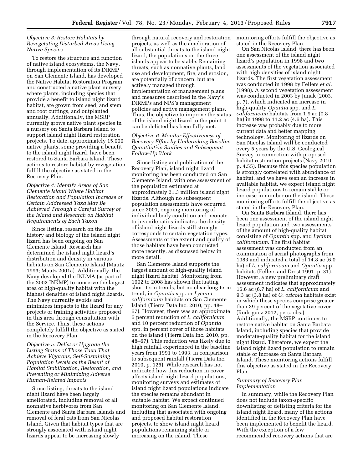# *Objective 3: Restore Habitats by Revegetating Disturbed Areas Using Native Species*

To restore the structure and function of native island ecosystems, the Navy, through implementation of its INRMP on San Clemente Island, has developed the Native Habitat Restoration Program and constructed a native plant nursery where plants, including species that provide a benefit to island night lizard habitat, are grown from seed, and stem and root cuttings, and outplanted annually. Additionally, the MSRP currently grows native plant species in a nursery on Santa Barbara Island to support island night lizard restoration projects. To date, approximately 15,000 native plants, some providing a benefit to the island night lizard, have been restored to Santa Barbara Island. These actions to restore habitat by revegetation fulfill the objective as stated in the Recovery Plan.

*Objective 4: Identify Areas of San Clemente Island Where Habitat Restoration and Population Increase of Certain Addressed Taxa May Be Achieved Through a Careful Survey of the Island and Research on Habitat Requirements of Each Taxon* 

Since listing, research on the life history and biology of the island night lizard has been ongoing on San Clemente Island. Research has determined the island night lizard's distribution and density in various habitats on San Clemente Island (Mautz 1993; Mautz 2001a). Additionally, the Navy developed the INLMA (as part of the 2002 INRMP) to conserve the largest area of high-quality habitat with the highest densities of island night lizards. The Navy currently avoids and minimizes impacts to the lizard for any projects or training activities proposed in this area through consultation with the Service. Thus, these actions completely fulfill the objective as stated in the Recovery Plan.

*Objective 5: Delist or Upgrade the Listing Status of Those Taxa That Achieve Vigorous, Self-Sustaining Population Levels as the Result of Habitat Stabilization, Restoration, and Preventing or Minimizing Adverse Human-Related Impacts* 

Since listing, threats to the island night lizard have been largely ameliorated, including removal of all nonnative herbivores from San Clemente and Santa Barbara Islands and removal of feral cats from San Nicolas Island. Given that habitat types that are strongly associated with island night lizards appear to be increasing slowly

through natural recovery and restoration projects, as well as the amelioration of all substantial threats to the island night lizard, the populations on the three islands appear to be stable. Remaining threats, such as nonnative plants, land use and development, fire, and erosion, are potentially of concern, but are actively managed through implementation of management plans and measures described in the Navy's INRMPs and NPS's management policies and active management plans. Thus, the objective to improve the status of the island night lizard to the point it can be delisted has been fully met.

# *Objective 6: Monitor Effectiveness of Recovery Effort by Undertaking Baseline Quantitative Studies and Subsequent Follow-Up Work*

Since listing and publication of the Recovery Plan, island night lizard monitoring has been conducted on San Clemente Island, with one assessment of the population estimated at approximately 21.3 million island night lizards. Although no subsequent population assessments have occurred since 2001, ongoing monitoring of individual body condition and neonateto-juvenile ratios indicates the density of island night lizards still strongly corresponds to certain vegetation types. Assessments of the extent and quality of those habitats have been conducted more recently, as discussed below in more detail.

San Clemente Island supports the largest amount of high-quality island night lizard habitat. Monitoring from 1992 to 2008 has shown fluctuating short-term trends, but no clear long-term trend, in *Opuntia* spp. or *Lycium californicum* habitats on San Clemente Island (Tierra Data Inc. 2010, pp. 48– 67). However, there was an approximate 6 percent reduction of *L. californicum*  and 10 percent reduction of *Opuntia*  spp. in percent cover of those habitats on the island (Tierra Data Inc. 2010, pp. 48–67). This reduction was likely due to high rainfall experienced in the baseline years from 1991 to 1993, in comparison to subsequent rainfall (Tierra Data Inc. 2010, p. 125). While research has not indicated how this reduction in cover affects island night lizard populations, monitoring surveys and estimates of island night lizard populations indicate the species remains abundant in suitable habitat. We expect continued monitoring on San Clemente Island, including that associated with ongoing and proposed habitat restoration projects, to show island night lizard populations remaining stable or increasing on the island. These

monitoring efforts fulfill the objective as stated in the Recovery Plan.

On San Nicolas Island, there has been one assessment of the island night lizard's population in 1998 and two assessments of the vegetation associated with high densities of island night lizards. The first vegetation assessment was conducted in 1998 by Fellers *et al.*  (1998). A second vegetation assessment was conducted in 2003 by Junak (2003, p. 7), which indicated an increase in high-quality *Opuntia* spp. and *L. californicum* habitats from 1.9 ac (0.8 ha) in 1998 to 11.2 ac (4.6 ha). This increase was probably due to more current data and better mapping technology. Monitoring of lizards on San Nicolas Island will be conducted every 5 years by the U.S. Geological Survey in connection with proposed habitat restoration projects (Navy 2010, p. 4.55). Because this species population is strongly correlated with abundance of habitat, and we have seen an increase in available habitat, we expect island night lizard populations to remain stable or increase in number on the island. These monitoring efforts fulfill the objective as stated in the Recovery Plan.

On Santa Barbara Island, there has been one assessment of the island night lizard population and two assessments of the amount of high-quality habitat consisting of *Opuntia* spp. and *Lycium californicum*. The first habitat assessment was conducted from an examination of aerial photographs from 1983 and indicated a total of 14.8 ac (6.0 ha) of *L. californicum* and *Opuntia* spp. habitats (Fellers and Drost 1991, p. 31). However, a new preliminary draft assessment indicates that approximately 16.6 ac (6.7 ha) of *L. californicum* and 9.3 ac (3.8 ha) of *O. oricola* habitats exist in which these species comprise greater than 39 percent of the vegetative cover (Rodriguez 2012, pers. obs.). Additionally, the MSRP continues to restore native habitat on Santa Barbara Island, including species that provide moderate-quality habitat for the island night lizard. Therefore, we expect the island night lizard population to remain stable or increase on Santa Barbara Island. These monitoring actions fulfill this objective as stated in the Recovery Plan.

# *Summary of Recovery Plan Implementation*

In summary, while the Recovery Plan does not include taxon-specific downlisting or delisting criteria for the island night lizard, many of the actions identified in the Recovery Plan have been implemented to benefit the lizard. With the exception of a few recommended recovery actions that are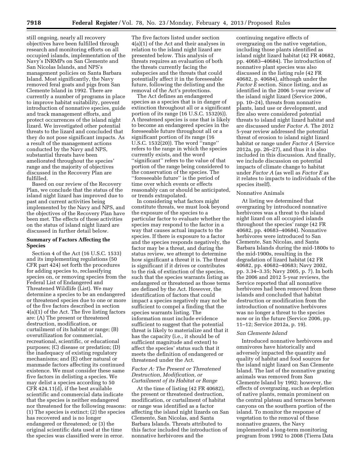still ongoing, nearly all recovery objectives have been fulfilled through research and monitoring efforts on all occupied islands, implementation of the Navy's INRMPs on San Clemente and San Nicolas Islands, and NPS's management policies on Santa Barbara Island. Most significantly, the Navy removed feral goats and pigs from San Clemente Island in 1992. There are currently a number of programs in place to improve habitat suitability, prevent introduction of nonnative species, guide and track management efforts, and protect occurrences of the island night lizard. We investigated other potential threats to the lizard and concluded that they do not pose significant impacts. As a result of the management actions conducted by the Navy and NPS, substantial threats have been ameliorated throughout the species' range and the majority of objectives discussed in the Recovery Plan are fulfilled.

Based on our review of the Recovery Plan, we conclude that the status of the island night lizard has improved due to past and current activities being implemented by the Navy and NPS, and the objectives of the Recovery Plan have been met. The effects of these activities on the status of island night lizard are discussed in further detail below.

# **Summary of Factors Affecting the Species**

Section 4 of the Act (16 U.S.C. 1533) and its implementing regulations (50 CFR part 424) set forth the procedures for adding species to, reclassifying species on, or removing species from the Federal List of Endangered and Threatened Wildlife (List). We may determine a species to be an endangered or threatened species due to one or more of the five factors described in section 4(a)(1) of the Act. The five listing factors are: (A) The present or threatened destruction, modification, or curtailment of its habitat or range; (B) overutilization for commercial, recreational, scientific, or educational purposes; (C) disease or predation; (D) the inadequacy of existing regulatory mechanisms; and (E) other natural or manmade factors affecting its continued existence. We must consider these same five factors in delisting a species. We may delist a species according to 50 CFR 424.11(d), if the best available scientific and commercial data indicate that the species is neither endangered nor threatened for the following reasons: (1) The species is extinct; (2) the species has recovered and is no longer endangered or threatened; or (3) the original scientific data used at the time the species was classified were in error.

The five factors listed under section 4(a)(1) of the Act and their analyses in relation to the island night lizard are presented below. This analysis of threats requires an evaluation of both the threats currently facing the subspecies and the threats that could potentially affect it in the foreseeable future, following the delisting and the removal of the Act's protections.

The Act defines an endangered species as a species that is in danger of extinction throughout all or a significant portion of its range (16 U.S.C. 1532(6)). A threatened species is one that is likely to become an endangered species in the foreseeable future throughout all or a significant portion of its range (16 U.S.C. 1532(20)). The word  $n$ <sup>a</sup>range" refers to the range in which the species currently exists, and the word ''significant'' refers to the value of that portion of the range being considered to the conservation of the species. The ''foreseeable future'' is the period of time over which events or effects reasonably can or should be anticipated, or trends extrapolated.

In considering what factors might constitute threats, we must look beyond the exposure of the species to a particular factor to evaluate whether the species may respond to the factor in a way that causes actual impacts to the species. If there is exposure to a factor and the species responds negatively, the factor may be a threat, and during the status review, we attempt to determine how significant a threat it is. The threat is significant if it drives or contributes to the risk of extinction of the species, such that the species warrants listing as endangered or threatened as those terms are defined by the Act. However, the identification of factors that could impact a species negatively may not be sufficient to compel a finding that the species warrants listing. The information must include evidence sufficient to suggest that the potential threat is likely to materialize and that it has the capacity (i.e., it should be of sufficient magnitude and extent) to affect the species' status such that it meets the definition of endangered or threatened under the Act.

# *Factor A: The Present or Threatened Destruction, Modification, or Curtailment of its Habitat or Range*

At the time of listing (42 FR 40682), the present or threatened destruction, modification, or curtailment of habitat or range was identified as a factor affecting the island night lizards on San Clemente, San Nicolas, and Santa Barbara Islands. Threats attributed to this factor included the introduction of nonnative herbivores and the

continuing negative effects of overgrazing on the native vegetation, including those plants identified as island night lizard habitat (42 FR 40682, pp. 40683–40684). The introduction of nonnative plant species was also discussed in the listing rule (42 FR 40682, p. 40684), although under the *Factor E* section. Since listing, and as identified in the 2006 5-year review of the island night lizard (Service 2006, pp. 10–24), threats from nonnative plants, land use or development, and fire also were considered potential threats to island night lizard habitat and are discussed under *Factor A.* The 2012 5-year review addressed the potential threat of erosion to island night lizard habitat or range under *Factor A* (Service 2012a, pp. 26–27), and thus it is also included in this discussion. And finally, we include discussion on potential impacts of climate change to habitat under *Factor A* (as well as *Factor E* as it relates to impacts to individuals of the species itself).

#### Nonnative Animals

At listing we determined that overgrazing by introduced nonnative herbivores was a threat to the island night lizard on all occupied islands throughout the species' range (42 FR 40682, pp. 40683–40684). Nonnative herbivores were introduced to San Clemente, San Nicolas, and Santa Barbara Islands during the mid-1800s to the mid-1900s, resulting in the degradation of lizard habitat (42 FR 40682, pp. 40682–40683; Navy 2002, pp. 3.34–3.35; Navy 2005, p. 7). In both the 2006 and 2012 5-year reviews, the Service reported that all nonnative herbivores had been removed from these islands and concluded that habitat destruction or modification from the introduction of nonnative herbivores was no longer a threat to the species now or in the future (Service 2006, pp. 11–12; Service 2012a, p. 19).

#### *San Clemente Island*

Introduced nonnative herbivores and omnivores have historically and adversely impacted the quantity and quality of habitat and food sources for the island night lizard on San Clemente Island. The last of the nonnative grazing animals was removed from San Clemente Island by 1992; however, the effects of overgrazing, such as depletion of native plants, remain prominent on the central plateau and terraces between canyons on the southern portion of the island. To monitor the response of vegetation to the removal of these nonnative grazers, the Navy implemented a long-term monitoring program from 1992 to 2008 (Tierra Data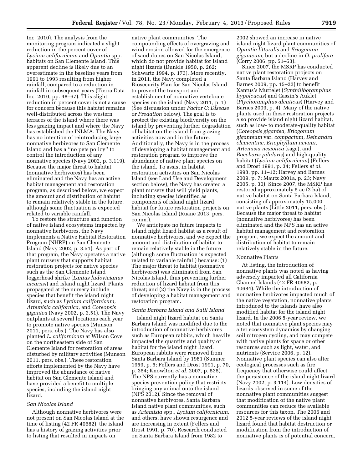Inc. 2010). The analysis from the monitoring program indicated a slight reduction in the percent cover of *Lycium californicum* and *Opuntia* spp. habitats on San Clemente Island. This apparent decline is likely due to an overestimate in the baseline years from 1991 to 1993 resulting from higher rainfall, compared to a reduction in rainfall in subsequent years (Tierra Data Inc. 2010, pp. 48–67). This slight reduction in percent cover is not a cause for concern because this habitat remains well-distributed across the western terraces of the island where there was less grazing impact and where the Navy has established the INLMA. The Navy has no intention of reintroducing large nonnative herbivores to San Clemente Island and has a ''no pets policy'' to control the introduction of any nonnative species (Navy 2002, p. 3.119). Because the major threat to habitat (nonnative herbivores) has been eliminated and the Navy has an active habitat management and restoration program, as described below, we expect the amount and distribution of habitat to remain relatively stable in the future, although some fluctuation is expected related to variable rainfall.

To restore the structure and function of native island ecosystems impacted by nonnative herbivores, the Navy implements a Native Habitat Restoration Program (NHRP) on San Clemente Island (Navy 2002, p. 3.51). As part of that program, the Navy operates a native plant nursery that supports habitat restoration projects for native species such as the San Clemente Island loggerhead shrike (*Lanius ludovicianus mearnsi*) and island night lizard. Plants propagated at the nursery include species that benefit the island night lizard, such as *Lycium californicum, Artemisia californica,* and *Coreopsis gigantea* (Navy 2002, p. 3.51). The Navy outplants at several locations each year to promote native species (Munson 2011, pers. obs.). The Navy has also planted *L. californicum* at Wilson Cove on the northeastern side of San Clemente Island for restoration of areas disturbed by military activities (Munson 2011, pers. obs.). These restoration efforts implemented by the Navy have improved the abundance of native habitat on San Clemente Island and have provided a benefit to multiple species, including the island night lizard.

# *San Nicolas Island*

Although nonnative herbivores were not present on San Nicolas Island at the time of listing (42 FR 40682), the island has a history of grazing activities prior to listing that resulted in impacts on

native plant communities. The compounding effects of overgrazing and wind erosion allowed for the emergence of sand dunes on San Nicolas Island, which do not provide habitat for island night lizards (Dunkle 1950, p. 262; Schwartz 1994, p. 173). More recently, in 2011, the Navy completed a Biosecurity Plan for San Nicolas Island to prevent the transport and establishment of nonnative vertebrate species on the island (Navy 2011, p. 1) (See discussion under *Factor C: Disease or Predation* below). The goal is to protect the existing biodiversity on the island by preventing further degradation of habitat on the island from grazing activities now and in the future. Additionally, the Navy is in the process of developing a habitat management and restoration program to improve the abundance of native plant species on the island. To assist in habitat restoration activities on San Nicolas Island (see Land Use and Development section below), the Navy has created a plant nursery that will yield plants, including species identified as components of island night lizard habitat for future restoration projects on San Nicolas Island (Ruane 2013, pers. comm.).

We anticipate no future impacts to island night lizard habitat as a result of nonnative herbivores, and we expect the amount and distribution of habitat to remain relatively stable in the future (although some fluctuation is expected related to variable rainfall) because: (1) The major threat to habitat (nonnative herbivores) was eliminated from San Nicolas Island, thus preventing further reduction of lizard habitat from this threat; and (2) the Navy is in the process of developing a habitat management and restoration program.

#### *Santa Barbara Island and Sutil Island*

Island night lizard habitat on Santa Barbara Island was modified due to the introduction of nonnative herbivores such as European rabbits, which heavily impacted the quantity and quality of habitat for the island night lizard. European rabbits were removed from Santa Barbara Island by 1981 (Sumner 1959, p. 5; Fellers and Drost 1991, p. 70, p. 354; Knowlton *et al.* 2007, p. 535). The NPS currently has a nonnative species prevention policy that restricts bringing any animal onto the island (NPS 2012). Since the removal of nonnative herbivores, Santa Barbara Island native plant communities, such as *Artemisia* spp., *Lycium californicum,*  and others, have shown resurgence and are increasing in extent (Fellers and Drost 1991, p. 70). Research conducted on Santa Barbara Island from 1982 to

2002 showed an increase in native island night lizard plant communities of *Opuntia littoralis* and *Eriogonum giganteum,* but a decline in *O. prolifera*  (Corry 2006, pp. 51–53).

Since 2007, the MSRP has conducted native plant restoration projects on Santa Barbara Island (Harvey and Barnes 2009, pp. 15–22) to benefit Xantus's Murrelet (*Synthiliboramphus hypoleucus*) and Cassin's Auklet (*Ptychoramphus aleuticus*) (Harvey and Barnes 2009, p. 4). Many of the native plants used in these restoration projects also provide island night lizard habitat, such as low- to moderate-quality habitat (*Coreopsis gigantea, Eriogonum giganteum* var. *compactum, Deinandra clementine, Eriophyllum nevinii, Artemisia nesiotica* (sage), and *Baccharis pilularis*) and high-quality habitat (*Lycium californicum*) (Fellers and Drost 1991, p. 34; Fellers *et al.*  1998, pp. 11–12; Harvey and Barnes 2009, p. 7; Mautz 2001a, p. 23; Navy 2005, p. 30). Since 2007, the MSRP has restored approximately 5 ac (2 ha) of native habitat on Santa Barbara Island, consisting of approximately 15,000 native plants (Little 2011, pers. obs.). Because the major threat to habitat (nonnative herbivores) has been eliminated and the NPS has an active habitat management and restoration program, we expect the amount and distribution of habitat to remain relatively stable in the future.

#### Nonnative Plants

At listing, the introduction of nonnative plants was noted as having adversely impacted all California Channel Islands (42 FR 40682, p. 40684). While the introduction of nonnative herbivores impacted much of the native vegetation, nonnative plants introduced to the islands have also modified habitat for the island night lizard. In the 2006 5-year review, we noted that nonnative plant species may alter ecosystem dynamics by changing soil nitrogen cycling, and may compete with native plants for space or other resources such as light, water, and nutrients (Service 2006, p. 12). Nonnative plant species can also alter ecological processes such as fire frequency that otherwise could affect the persistence of the island night lizard (Navy 2002, p. 3.114). Low densities of lizards observed in some of the nonnative plant communities suggest that modification of the native plant communities can reduce the available resources for this taxon. The 2006 and 2012 5-year reviews of the island night lizard found that habitat destruction or modification from the introduction of nonnative plants is of potential concern,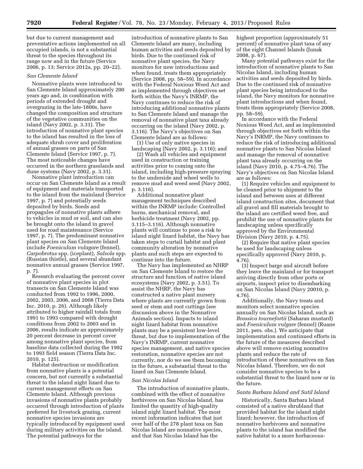but due to current management and preventative actions implemented on all occupied islands, is not a substantial threat to the species throughout its range now and in the future (Service 2006, p. 13; Service 2012a, pp. 20–22).

#### *San Clemente Island*

Nonnative plants were introduced to San Clemente Island approximately 200 years ago and, in combination with periods of extended drought and overgrazing in the late-1800s, have changed the composition and structure of the vegetative communities on the island (Navy 2002, p. 3.31). The introduction of nonnative plant species to the island has resulted in the loss of adequate shrub cover and proliferation of annual grasses on parts of San Clemente Island (Service 1997, p. 7). The most noticeable changes have occurred in the northern grasslands and dune systems (Navy 2002, p. 3.31).

Nonnative plant introduction can occur on San Clemente Island as a result of equipment and materials transported to the island from the mainland (Service 1997, p. 7) and potentially seeds deposited by birds. Seeds and propagules of nonnative plants adhere to vehicles in mud or soil, and can also be brought onto the island in gravel used for road maintenance (Service 1997, p. 7). The predominant nonnative plant species on San Clemente Island include *Foeniculum vulagare* (fennel), *Carpobrotus* spp. (iceplant), *Salsola* spp. (Russian thistle), and several abundant nonnative annual grasses (Service 1997, p. 7).

Research evaluating the percent cover of nonnative plant species in plot transects on San Clemente Island was conducted from 1992 to 1996, 2000, 2002, 2003, 2006, and 2008 (Tierra Data Inc. 2010, p. 26). Although likely attributed to higher rainfall totals from 1991 to 1993 compared with drought conditions from 2002 to 2003 and in 2006, results indicate an approximately 20 percent decrease in percent cover among nonnative plant species, from baseline data collected during the 1992 to 1993 field season (Tierra Data Inc. 2010, p. 125).

Habitat destruction or modification from nonnative plants is a potential concern, but not currently a substantial threat to the island night lizard due to current management efforts on San Clemente Island. Although previous invasions of nonnative plants probably occurred through introduction of plants preferred for livestock grazing, current nonnative species invasions are typically introduced by equipment used during military activities on the island. The potential pathways for the

introduction of nonnative plants to San Clemente Island are many, including human activities and seeds deposited by birds. Due to the continued risk of nonnative plant species, the Navy monitors for new introductions and when found, treats them appropriately (Service 2008, pp. 58–59). In accordance with the Federal Noxious Weed Act and as implemented through objectives set forth within the Navy's INRMP, the Navy continues to reduce the risk of introducing additional nonnative plants to San Clemente Island and manage the removal of nonnative plant taxa already occurring on the island (Navy 2002, p. 3.116). The Navy's objectives on San Clemente Island are as follows:

(1) Use of only native species in landscaping (Navy 2002, p. 3.116); and

(2) Wash all vehicles and equipment used in construction or training activities prior to coming onto the island, including high-pressure spraying to the underside and wheel wells to remove mud and weed seed (Navy 2002, p. 3.116).

Additional nonnative plant management techniques described within the INRMP include: Controlled burns, mechanical removal, and herbicide treatment (Navy 2002, pp. 3.115–3.116). Although nonnative plants will continue to pose a risk to island night lizard habitat, the Navy has taken steps to curtail habitat and plant community alteration by nonnative plants and such steps are expected to continue into the future.

The Navy has implemented an NHRP on San Clemente Island to restore the structure and function of native island ecosystems (Navy 2002, p. 3.51). To assist the NHRP, the Navy has constructed a native plant nursery where plants are currently grown from seed or stem and root cuttings (see discussion above in the Nonnative Animals section). Impacts to island night lizard habitat from nonnative plants may be a persistent low-level threat, but due to implementation of the Navy's INRMP, current nonnative species management, and native species restoration, nonnative species are not currently, nor do we see them becoming in the future, a substantial threat to the lizard on San Clemente Island.

#### *San Nicolas Island*

The introduction of nonnative plants, combined with the effect of nonnative herbivores on San Nicolas Island, has limited the quantity of high-quality island night lizard habitat. The most recent information indicates that just over half of the 278 plant taxa on San Nicolas Island are nonnative species, and that San Nicolas Island has the

highest proportion (approximately 51 percent) of nonnative plant taxa of any of the eight Channel Islands (Junak 2008, p. 67).

Many potential pathways exist for the introduction of nonnative plants to San Nicolas Island, including human activities and seeds deposited by birds. Due to the continued risk of nonnative plant species being introduced to the island, the Navy monitors for nonnative plant introductions and when found, treats them appropriately (Service 2008, pp. 58–59).

In accordance with the Federal Noxious Weed Act, and as implemented through objectives set forth within the Navy's INRMP, the Navy continues to reduce the risk of introducing additional nonnative plants to San Nicolas Island and manage the removal of nonnative plant taxa already occurring on the island (Navy 2010, p. 4.75–4.76). The Navy's objectives on San Nicolas Island are as follows:

(1) Require vehicles and equipment to be cleaned prior to shipment to the island and between uses at different island construction sites, document that all gravel and fill materials brought to the island are certified weed free, and prohibit the use of nonnative plants for landscaping unless specifically approved by the Environmental Division (Navy 2010, p. 4.75).

(2) Require that native plant species be used for landscaping unless specifically approved (Navy 2010, p. 4.76).

(3) Inspect barge and aircraft before they leave the mainland or for transport arriving directly from other ports or airports, inspect prior to disembarking on San Nicolas Island (Navy 20010, p. 4.76).

Additionally, the Navy treats and monitors select nonnative species annually on San Nicolas Island, such as *Brassica tournefortii* (Saharan mustard) and *Foeniculum vulgare* (fennel) (Ruane 2011, pers. obs.). We anticipate that implementation and continued efforts in the future of the measures described above will remove existing nonnative plants and reduce the rate of introduction of these nonnatives on San Nicolas Island. Therefore, we do not consider nonnative species to be a substantial threat to the lizard now or in the future.

# *Santa Barbara Island and Sutil Island*

Historically, Santa Barbara Island consisted of a native shrubland that provided habitat for the island night lizard; however, the introduction of nonnative herbivores and nonnative plants to the island has modified the native habitat to a more herbaceous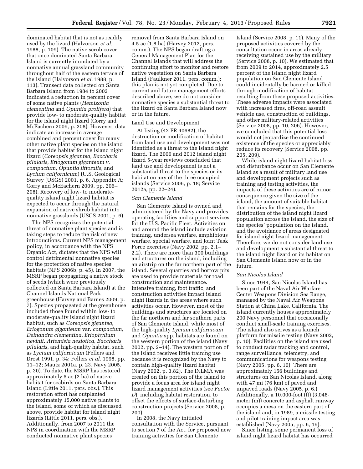dominated habitat that is not as readily used by the lizard (Halvorson *et al.*  1988, p. 109). The native scrub cover that once dominated Santa Barbara Island is currently inundated by a nonnative annual grassland community throughout half of the eastern terrace of the island (Halvorson *et al.* 1988, p. 113). Transect data collected on Santa Barbara Island from 1984 to 2002 indicated a reduction in percent cover of some native plants (*Hemizonia clementina* and *Opuntia prolifera*) that provide low- to moderate-quality habitat for the island night lizard (Corry and McEachern 2009, p. 208). However, data indicate an increase in average combined and percent cover for many other native plant species on the island that provide habitat for the island night lizard (*Coreopsis gigantea, Baccharis pilularis, Eriogonum giganteum v. compactum, Opuntia littoralis,* and *Lycium californicum*) (U.S. Geological Survey (USGS) 2001, p. 6, Appendix A; Corry and McEachern 2009, pp. 206– 208). Recovery of low- to moderatequality island night lizard habitat is expected to occur through the natural expansion of native shrub habitat into nonnative grasslands (USGS 2001, p. 6).

The NPS recognizes the potential threat of nonnative plant species and is taking steps to reduce the risk of new introductions. Current NPS management policy, in accordance with the NPS Organic Act, dictates that the NPS will control detrimental nonnative species for the protection of native species' habitats (NPS 2006b, p. 45). In 2007, the MSRP began propagating a native stock of seeds (which were previously collected on Santa Barbara Island) at the Channel Islands National Park greenhouse (Harvey and Barnes 2009, p. 7). Species propagated at the greenhouse included those found within low- to moderate-quality island night lizard habitat, such as *Coreopsis gigantea, Eriogonum giganteum* var. *compactum, Deinandra clementina, Eriophyllum nevinii, Artemisia nesiotica, Baccharis pilularis,* and high-quality habitat, such as *Lycium californicum* (Fellers and Drost 1991, p. 34; Fellers *et al.* 1998, pp. 11–12; Mautz 2001a, p. 23, Navy 2005, p. 30). To date, the MSRP has restored approximately 5 ac (2 ha) of native habitat for seabirds on Santa Barbara Island (Little 2011, pers. obs.). This restoration effort has outplanted approximately 15,000 native plants to the island, some of which as discussed above, provide habitat for island night lizards (Little 2011, pers. obs.). Additionally, from 2007 to 2011 the NPS in coordination with the MSRP conducted nonnative plant species

removal from Santa Barbara Island on 4.5 ac (1.8 ha) (Harvey 2012, pers. comm.). The NPS began drafting a General Management Plan for the Channel Islands that will address the continuing effort to monitor and restore native vegetation on Santa Barbara Island (Faulkner 2011, pers. comm.); this plan is not yet completed. Due to current and future management efforts described above, we do not consider nonnative species a substantial threat to the lizard on Santa Barbara Island now or in the future.

# Land Use and Development

At listing (42 FR 40682), the destruction or modification of habitat from land use and development was not identified as a threat to the island night lizard. The 2006 and 2012 island night lizard 5-year reviews concluded that land use and development is not a substantial threat to the species or its habitat on any of the three occupied islands (Service 2006, p. 18; Service 2012a, pp. 22–24).

#### *San Clemente Island*

San Clemente Island is owned and administered by the Navy and provides operating facilities and support services for the U.S. Pacific Fleet. Activities on and around the island include aviation training, undersea warfare, amphibious warfare, special warfare, and Joint Task Force exercises (Navy 2002, pp. 2.1– 2.2). There are more than 300 buildings and structures on the island, including an airstrip on the far northern part of the island. Several quarries and borrow pits are used to provide materials for road construction and maintenance. Intensive training, foot traffic, and construction activities impact island night lizards in the areas where such activities occur. However, most of the buildings and structures are located on the far northern and far southern parts of San Clemente Island, while most of the high-quality *Lycium californicum*  and *Opuntia* spp. habitats are found on the western portion of the island (Navy 2002, pp. 2–14). The western portion of the island receives little training use because it is recognized by the Navy to contain high-quality lizard habitat (Navy 2002, p. 3.82). The INLMA was created on this portion of the island to provide a focus area for island night lizard management activities (see *Factor D*), including habitat restoration, to offset the effects of surface-disturbing construction projects (Service 2008, p. 200).

In 2008, the Navy initiated consultation with the Service, pursuant to section 7 of the Act, for proposed new training activities for San Clemente

Island (Service 2008, p. 11). Many of the proposed activities covered by the consultation occur in areas already receiving sustained use by the military (Service 2008, p. 10). We estimated that from 2009 to 2014, approximately 2.5 percent of the island night lizard population on San Clemente Island could incidentally be harmed or killed through modification of habitat resulting from these proposed activities. These adverse impacts were associated with increased fires, off-road assault vehicle use, construction of buildings, and other military-related activities (Service 2008, pp. 10, 206). However, we concluded that this potential loss would not jeopardize the continued existence of the species or appreciably reduce its recovery (Service 2008, pp. 205, 209).

While island night lizard habitat loss and disturbance occur on San Clemente Island as a result of military land use and development projects such as training and testing activities, the impacts of these activities are of minor consequence given the size of the island, the amount of suitable habitat that remains for the species, the distribution of the island night lizard population across the island, the size of the species' population on the island, and the avoidance of areas designated for island night lizard management. Therefore, we do not consider land use and development a substantial threat to the island night lizard or its habitat on San Clemente Island now or in the future.

#### *San Nicolas Island*

Since 1944, San Nicolas Island has been part of the Naval Air Warfare Center Weapons Division Sea Range, managed by the Naval Air Weapons Station at China Lake, California. The island currently houses approximately 200 Navy personnel that occasionally conduct small-scale training exercises. The island also serves as a launch platform for missile testing (Navy 2002, p. 10). Facilities on the island are used to conduct radar tracking and control, range surveillance, telemetry, and communications for weapons testing (Navy 2005, pp. 6, 10). There are approximately 156 buildings and structures on San Nicolas Island, along with 47 mi (76 km) of paved and unpaved roads (Navy 2005, p. 6.) Additionally, a 10,000-foot (ft) (3,048 meter (m)) concrete and asphalt runway occupies a mesa on the eastern part of the island and, in 1989, a missile testing and pilot training impact area was established (Navy 2005, pp. 6, 19).

Since listing, some permanent loss of island night lizard habitat has occurred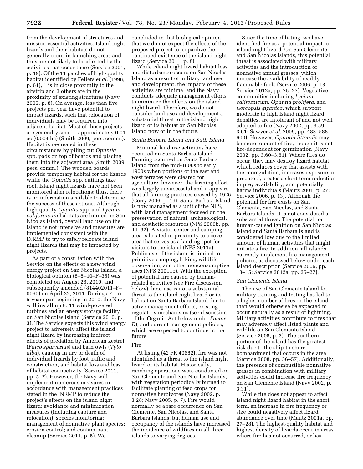from the development of structures and mission-essential activities. Island night lizards and their habitats do not generally occur in launching areas and thus are not likely to be affected by the activities that occur there (Service 2001, p. 19). Of the 11 patches of high-quality habitat identified by Fellers *et al.* (1998, p. 61), 1 is in close proximity to the airstrip and 3 others are in the proximity of existing structures (Navy 2005, p. 8). On average, less than five projects per year have potential to impact lizards, such that relocation of individuals may be required into adjacent habitat. Most of those projects are generally small—approximately 0.01 ac (0.004 ha) (Smith 2009, pers. comm.). Habitat is re-created in these circumstances by piling cut *Opuntia*  spp. pads on top of boards and placing them into the adjacent area (Smith 2009, pers. comm.). The wooden boards provide temporary habitat for the lizards while the *Opuntia* spp. cuttings take root. Island night lizards have not been monitored after relocations; thus, there is no information available to determine the success of these actions. Although high-quality *Opuntia* spp. and *Lycium californicum* habitats are limited on San Nicolas Island, overall land use on the island is not intensive and measures are implemented consistent with the INRMP to try to safely relocate island night lizards that may be impacted by projects.

As part of a consultation with the Service on the effects of a new wind energy project on San Nicolas Island, a biological opinion (8–8–10–F–35) was completed on August 26, 2010, and subsequently amended (814402011–F– 0060) on April 22, 2011. During a 4- to 5-year span beginning in 2010, the Navy will install up to 11 wind-powered turbines and an energy storage facility on San Nicolas Island (Service 2010, p. 3). The Service expects this wind energy project to adversely affect the island night lizard by increasing indirect effects of predation by American kestrel (*Falco sparverius*) and barn owls (*Tyto alba*), causing injury or death of individual lizards by foot traffic and construction, and habitat loss and loss of habitat connectivity (Service 2011, pp. 5–7). However, the Navy will implement numerous measures in accordance with management practices stated in the INRMP to reduce the project's effects on the island night lizard: avoidance and minimization measures (including capture and relocation); species monitoring; management of nonnative plant species; erosion control; and contaminant cleanup (Service 2011, p. 5). We

concluded in that biological opinion that we do not expect the effects of the proposed project to jeopardize the continued existence of the island night lizard (Service 2011, p. 8).

While island night lizard habitat loss and disturbance occurs on San Nicolas Island as a result of military land use and development, the impacts of these activities are minimal and the Navy conducts adequate management efforts to minimize the effects on the island night lizard. Therefore, we do not consider land use and development a substantial threat to the island night lizard or its habitat on San Nicolas Island now or in the future.

# *Santa Barbara Island and Sutil Island*

Minimal land use activities have occurred on Santa Barbara Island. Farming occurred on Santa Barbara Island from the mid-1800s to early 1900s when portions of the east and west terraces were cleared for agriculture; however, the farming effort was largely unsuccessful and it appears that all farming practices ceased by 1926 (Corry 2006, p. 19). Santa Barbara Island is now managed as a unit of the NPS, with land management focused on the preservation of natural, archaeological, and aesthetic resources (NPS 2006b, pp. 44–62). A visitor center and camping area is located in proximity to a cove area that serves as a landing spot for visitors to the island (NPS 2011a). Public use of the island is limited to primitive camping, hiking, wildlife observation, and other nonconsumptive uses (NPS 20011b). With the exception of potential fire caused by humanrelated activities (see Fire discussion below), land use is not a substantial threat to the island night lizard or its habitat on Santa Barbara Island due to active management efforts, existing regulatory mechanisms (see discussion of the Organic Act below under *Factor D*), and current management policies, which are expected to continue in the future.

## Fire

At listing (42 FR 40682), fire was not identified as a threat to the island night lizard or its habitat. Historically, ranching operations were conducted on San Clemente and San Nicolas Islands, with vegetation periodically burned to facilitate planting of feed crops for nonnative herbivores (Navy 2002, p. 3.28; Navy 2005, p. 7). Fire would normally be a rare occurrence on San Clemente, San Nicolas, and Santa Barbara Islands, but human use and occupancy of the islands have increased the incidence of wildfires on all three islands to varying degrees.

Since the time of listing, we have identified fire as a potential impact to island night lizard. On San Clemente and San Nicolas Islands, this potential threat is associated with military activities and the introduction of nonnative annual grasses, which increase the availability of readily flammable fuels (Service 2006, p. 13; Service 2012a, pp. 25–27). Vegetative communities including *Lycium californicum, Opuntia prolifera,* and *Coreopsis gigantea,* which support moderate to high island night lizard densities, are intolerant of and not well adapted to fire (Navy 2002, pp. 3.59– 3.61; Sawyer *et al.* 2009, pp. 483, 588, 600). However, *Opuntia littoralis* may be more tolerant of fire, though it is not fire-dependent for germination (Navy 2002, pp. 3.60–3.61). Where fires do occur, they may destroy lizard habitat which reduces cover that assists with thermoregulation, increases exposure to predators, creates a short-term reduction in prey availability, and potentially harms individuals (Mautz 2001, p. 27; Service 2006, p. 13). Although the potential for fire exists on San Clemente, San Nicolas, and Santa Barbara Islands, it is not considered a substantial threat. The potential for human-caused ignition on San Nicolas Island and Santa Barbara Island is considered low due to the limited amount of human activities that might initiate a fire. In addition, all islands currently implement fire management policies, as discussed below under each island description (Service 2006, pp. 13–15; Service 2012a, pp. 25–27).

## *San Clemente Island*

The use of San Clemente Island for military training and testing has led to a higher number of fires on the island than would otherwise be expected to occur naturally as a result of lightning. Military activities contribute to fires that may adversely affect listed plants and wildlife on San Clemente Island (Service 2008, p. 3). The southern portion of the island has the greatest risk due to the ship-to-shore bombardment that occurs in the area (Service 2008, pp. 56–57). Additionally, the presence of combustible nonnative grasses in combination with military activities could increase fire frequency on San Clemente Island (Navy 2002, p. 3.31).

While fire does not appear to affect island night lizard habitat in the short term, an increase in fire frequency or size could negatively affect lizard abundance over time (Mautz 2001a, pp. 27–28). The highest-quality habitat and highest density of lizards occur in areas where fire has not occurred, or has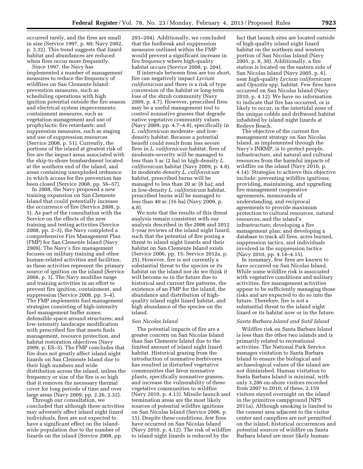occurred rarely, and the fires are small in size (Service 1997, p. 60; Navy 2002, p. 3.32). This trend suggests that lizard habitat and abundances are reduced when fires occur more frequently.

Since 1997, the Navy has implemented a number of management measures to reduce the frequency of wildfires on San Clemente Island: prevention measures, such as scheduling operations with high ignition potential outside the fire season and electrical system improvements; containment measures, such as vegetation management and use of prophylactic fire retardants; and suppression measures, such as staging and use of suppression resources (Service 2008, p. 51). Currently, the portions of the island at greatest risk of fire are the impact areas associated with the ship-to-shore bombardment located at the southern end of the island, and areas containing unexploded ordnance in which access for fire prevention has been closed (Service 2008, pp. 56–57).

In 2008, the Navy proposed a new training expansion on San Clemente Island that could potentially increase the occurrence of fire (Service 2008, p. 5). As part of the consultation with the Service on the effects of the new training and testing activities (Service 2008, pp. 2–3), the Navy completed a comprehensive Fire Management Plan (FMP) for San Clemente Island (Navy 2009). The Navy's fire management focuses on military training and other human-related activities and facilities, as these activities represent the primary source of ignition on the island (Service 2008, p. 3). The Navy modifies range and training activities in an effort to prevent fire ignition, containment, and suppression (Service 2008, pp. 3–4). The FMP implements fuel management strategies consisting of high-intensity fuel management buffer zones; defensible space around structures; and low-intensity landscape modification with prescribed fire that meets fuels management, resource protection, and habitat restoration objectives (Navy 2009, p. ES–3). The FMP concludes that fire does not greatly affect island night lizards on San Clemente Island due to their high numbers and wide distribution across the island, unless the frequency or size of the fire is so high that it removes the necessary thermal cover for long periods of time and over large areas (Navy 2009, pp. 2.26, 2.32).

Through our consultation, we concluded that although these activities may adversely affect island night lizard individuals, fires are not expected to have a significant effect on the islandwide population due to the number of lizards on the island (Service 2008, pp.

203–204). Additionally, we concluded that the fuelbreak and suppression measures outlined within the FMP would prevent a significant increase in fire frequency where high-quality habitat occurs (Service 2008, p. 204).

If intervals between fires are too short, fire can negatively impact *Lycium californicum* and there is a risk of type conversion of the habitat or long-term loss of the shrub community (Navy 2009, p. 4.7). However, prescribed fires may be a useful management tool to control nonnative grasses that degrade native vegetative community values (Navy 2009, pp. 4.7–4.8), specifically in *L. californicum* moderate- and lowdensity habitat. Because a potential benefit could result from less severe fires in *L. californicum* habitat, fires of moderate-severity will be managed to less than 5 ac (2 ha) in high-density *L. californicum* habitat (Navy 2009, p. 4.8). In moderate-density *L. californicum*  habitat, prescribed burns will be managed to less than 20 ac (8 ha); and in low-density *L. californicum* habitat, prescribed burns will be managed to less than 40 ac (16 ha) (Navy 2009, p. 4.8).

We note that the results of this threat analysis remain consistent with our analysis described in the 2006 and 2012 5-year reviews of the island night lizard, such that the potential of fire posing a threat to island night lizards and their habitat on San Clemente Island exists (Service 2006, pp. 15; Service 2012a, p. 25). However, fire is not currently a substantial threat to the species or its habitat on the island nor do we think it will become so in the future due to historical and current fire patterns, the existence of an FMP for the island, the abundance and distribution of highquality island night lizard habitat, and high abundance of the species on the island.

# *San Nicolas Island*

The potential impacts of fire are a greater concern on San Nicolas Island than San Clemente Island due to the limited amount of island night lizard habitat. Historical grazing from the introduction of nonnative herbivores has resulted in disturbed vegetative communities that favor nonnative plants, specifically nonnative grasses, and increase the vulnerability of these vegetative communities to wildfire (Navy 2010, p. 4.13). Missile launch and termination areas are the most likely sources of potential wildfire ignitions on San Nicolas Island (Service 2006, p. 15). Despite these conditions, few fires have occurred on San Nicolas Island (Navy 2010, p. 4.12). The risk of wildfire to island night lizards is reduced by the

fact that launch sites are located outside of high-quality island night lizard habitat on the northern and western portion of San Nicolas Island (Navy 2005, p. 8, 30). Additionally, a fire station is located on the eastern side of San Nicolas Island (Navy 2005, p. 6), near high-quality *Lycium californicum*  and *Opuntia* spp. habitat. Few fires have occurred on San Nicolas Island (Navy 2010, p. 4.12). We have no information to indicate that fire has occurred, or is likely to occur, in the intertidal zone of the unique cobble and driftwood habitat inhabited by island night lizards at Redeye Beach.

The objective of the current fire management strategy on San Nicolas Island, as implemented through the Navy's INRMP, is to protect people, infrastructure, and natural and cultural resources from the harmful impacts of wildfire on the island (Navy 2010, p. 4.14). Strategies to achieve this objective include: preventing wildfire ignitions; providing, maintaining, and upgrading fire management cooperative agreements, memoranda of understanding, and reciprocal agreements to provide maximum protection to cultural resources, natural resources, and the island's infrastructure; developing a fire management plan; and developing a database to track all fires, acres burned, suppression tactics, and individuals involved in the suppression tactics (Navy 2010, pp. 4.14–4.15).

In summary, few fires are known to have occurred on San Nicolas Island. While some wildfire risk is associated with vegetative conditions and military activities, fire management activities appear to be sufficiently managing those risks and are expected to do so into the future. Therefore, fire is not a substantial threat to the island night lizard or its habitat now or in the future.

# *Santa Barbara Island and Sutil Island*

Wildfire risk on Santa Barbara Island is less than the other two islands and is primarily related to recreational activities. The National Park Service manages visitation to Santa Barbara Island to ensure the biological and archaeological values of the island are not diminished. Human visitation to Santa Barbara Island is minimal, with only 3,286 on-shore visitors recorded from 2007 to 2010; of these, 2,159 visitors stayed overnight on the island in the primitive campground (NPS 2011a). Although smoking is limited to the cement area adjacent to the visitor center and campfires are not permitted on the island, historical occurrences and potential sources of wildfire on Santa Barbara Island are most likely human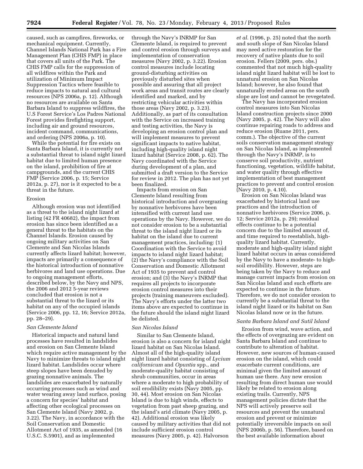caused, such as campfires, fireworks, or mechanical equipment. Currently, Channel Islands National Park has a Fire Management Plan (CHIS FMP) in place that covers all units of the Park. The CHIS FMP calls for the suppression of all wildfires within the Park and utilization of Minimum Impact Suppression Tactics where feasible to reduce impacts to natural and cultural resources (NPS 2006a, p. 12). Although no resources are available on Santa Barbara Island to suppress wildfires, the U.S Forest Service's Los Padres National Forest provides firefighting support, including air and ground resources, incident command, communications, and ordering (NPS 2006a, p. 10).

While the potential for fire exists on Santa Barbara Island, it is currently not a substantial threat to island night lizard habitat due to limited human presence on the island, prohibition of fire at campgrounds, and the current CHIS FMP (Service 2006, p. 15; Service 2012a, p. 27), nor is it expected to be a threat in the future.

#### Erosion

Although erosion was not identified as a threat to the island night lizard at listing (42 FR 40682), the impact from erosion has since been identified as a general threat to the habitats on the Channel Islands. Erosion caused by ongoing military activities on San Clemente and San Nicolas Islands currently affects lizard habitat; however, impacts are primarily a consequence of the historical introduction of nonnative herbivores and land use operations. Due to ongoing management efforts, described below, by the Navy and NPS, the 2006 and 2012 5-year reviews concluded that erosion is not a substantial threat to the lizard or its habitat on any of the occupied islands (Service 2006, pp. 12, 16; Service 2012a, pp. 28–29).

#### *San Clemente Island*

Historical impacts and natural land processes have resulted in landslides and erosion on San Clemente Island which require active management by the Navy to minimize threats to island night lizard habitat. Landslides occur where steep slopes have been denuded by grazing nonnative animals. The landslides are exacerbated by naturally occurring processes such as wind and water wearing away land surface, posing a concern for species' habitat and affecting other ecological processes on San Clemente Island (Navy 2002, p. 3.22). The Navy, in accordance with the Soil Conservation and Domestic Allotment Act of 1935, as amended (16 U.S.C. S.5901), and as implemented

through the Navy's INRMP for San Clemente Island, is required to prevent and control erosion through surveys and implementation of conservation measures (Navy 2002, p. 3.22). Erosion control measures include locating ground-disturbing activities on previously disturbed sites when possible and assuring that all project work areas and transit routes are clearly identified and marked, and by restricting vehicular activities within those areas (Navy 2002, p. 3.23). Additionally, as part of its consultation with the Service on increased training and testing activities, the Navy is developing an erosion control plan and will implement measures to prevent significant impacts to native habitat, including high-quality island night lizard habitat (Service 2008, p. 62). The Navy coordinated with the Service during development of a plan, and submitted a draft version to the Service for review in 2012. The plan has not yet been finalized.

Impacts from erosion on San Clemente Island resulting from historical introduction and overgrazing by nonnative herbivores have been intensified with current land use operations by the Navy. However, we do not consider erosion to be a substantial threat to the island night lizard or its habitat on the island due to current management practices, including: (1) Coordination with the Service to avoid impacts to island night lizard habitat; (2) the Navy's compliance with the Soil Conservation and Domestic Allotment Act of 1935 to prevent and control erosion; and (3) the Navy's INRMP that requires all projects to incorporate erosion control measures into their projects (training maneuvers excluded). The Navy's efforts under the latter two items above are expected to continue in the future should the island night lizard be delisted.

# *San Nicolas Island*

Similar to San Clemente Island, erosion is also a concern for island night lizard habitat on San Nicolas Island. Almost all of the high-quality island night lizard habitat consisting of *Lycium californicum* and *Opuntia* spp., and moderate-quality habitat consisting of shrub communities, occur in areas where a moderate to high probability of soil erodibility exists (Navy 2005, pp. 30, 44). Most erosion on San Nicolas Island is due to high winds, effects to vegetation from past sheep grazing, and the island's arid climate (Navy 2005, p. 42). Additional erosion was likely caused by military activities that did not include sufficient erosion control measures (Navy 2005, p. 42). Halvorson

*et al.* (1996, p. 25) noted that the north and south slope of San Nicolas Island may need active restoration for the recovery of native plants due to soil erosion. Fellers (2009, pers. obs.) commented that not much high-quality island night lizard habitat will be lost to unnatural erosion on San Nicolas Island; however, he also found that unnaturally eroded areas on the south slope are lost and cannot be revegetated.

The Navy has incorporated erosion control measures into San Nicolas Island construction projects since 2000 (Navy 2005, p. 42). The Navy will also continue repairing roads to address and reduce erosion (Ruane 2011, pers. comm.). The objective of the current soils conservation management strategy on San Nicolas Island, as implemented through the Navy's INRMP, is to conserve soil productivity, nutrient functioning, vegetation, wildlife habitat, and water quality through effective implementation of best management practices to prevent and control erosion (Navy 2010, p. 4.10).

Erosion on San Nicolas Island was exacerbated by historical land use practices and the introduction of nonnative herbivores (Service 2006, p. 12; Service 2012a, p. 29); residual effects continue to be a potential concern due to the limited amount of, and time required to reestablish, highquality lizard habitat. Currently, moderate and high-quality island night lizard habitat occurs in areas considered by the Navy to have a moderate- to highsoil erodibility. However, steps are being taken by the Navy to reduce and manage current impacts from erosion on San Nicolas Island and such efforts are expected to continue in the future. Therefore, we do not consider erosion to currently be a substantial threat to the island night lizard or its habitat on San Nicolas Island now or in the future.

# *Santa Barbara Island and Sutil Island*

Erosion from wind, wave action, and the effects of overgrazing are evident on Santa Barbara Island and continue to contribute to alteration of habitat. However, new sources of human-caused erosion on the island, which could exacerbate current conditions, are minimal given the limited amount of human use there. Any new erosion resulting from direct human use would likely be related to erosion along existing trails. Currently, NPS management policies dictate that the NPS will actively preserve soil resources and prevent the unnatural erosion and prevent or minimize potentially irreversible impacts on soil (NPS 2006b, p. 56). Therefore, based on the best available information about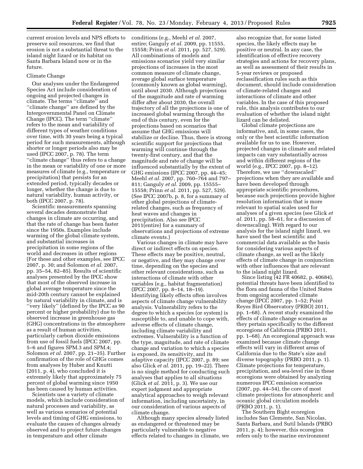current erosion levels and NPS efforts to preserve soil resources, we find that erosion is not a substantial threat to the island night lizard or its habitat on Santa Barbara Island now or in the future.

#### Climate Change

Our analyses under the Endangered Species Act include consideration of ongoing and projected changes in climate. The terms ''climate'' and ''climate change'' are defined by the Intergovernmental Panel on Climate Change (IPCC). The term ''climate'' refers to the mean and variability of different types of weather conditions over time, with 30 years being a typical period for such measurements, although shorter or longer periods also may be used (IPCC 2007, p. 78). The term ''climate change'' thus refers to a change in the mean or variability of one or more measures of climate (e.g., temperature or precipitation) that persists for an extended period, typically decades or longer, whether the change is due to natural variability, human activity, or both (IPCC 2007, p. 78).

Scientific measurements spanning several decades demonstrate that changes in climate are occurring, and that the rate of change has been faster since the 1950s. Examples include warming of the global climate system, and substantial increases in precipitation in some regions of the world and decreases in other regions (For these and other examples, see IPCC 2007, p. 30; and Solomon *et al.* 2007, pp. 35–54, 82–85). Results of scientific analyses presented by the IPCC show that most of the observed increase in global average temperature since the mid-20th century cannot be explained by natural variability in climate, and is ''very likely'' (defined by the IPCC as 90 percent or higher probability) due to the observed increase in greenhouse gas (GHG) concentrations in the atmosphere as a result of human activities, particularly carbon dioxide emissions from use of fossil fuels (IPCC 2007, pp. 5–6 and figures SPM.3 and SPM.4; Solomon *et al.* 2007, pp. 21–35). Further confirmation of the role of GHGs comes from analyses by Huber and Knutti (2011, p. 4), who concluded it is extremely likely that approximately 75 percent of global warming since 1950 has been caused by human activities.

Scientists use a variety of climate models, which include consideration of natural processes and variability, as well as various scenarios of potential levels and timing of GHG emissions, to evaluate the causes of changes already observed and to project future changes in temperature and other climate

conditions (e.g., Meehl *et al.* 2007, entire; Ganguly *et al.* 2009, pp. 11555, 15558; Prinn *et al.* 2011, pp. 527, 529). All combinations of models and emissions scenarios yield very similar projections of increases in the most common measure of climate change, average global surface temperature (commonly known as global warming), until about 2030. Although projections of the magnitude and rate of warming differ after about 2030, the overall trajectory of all the projections is one of increased global warming through the end of this century, even for the projections based on scenarios that assume that GHG emissions will stabilize or decline. Thus, there is strong scientific support for projections that warming will continue through the twenty-first century, and that the magnitude and rate of change will be influenced substantially by the extent of GHG emissions (IPCC 2007, pp. 44–45; Meehl *et al.* 2007, pp. 760–764 and 797– 811; Ganguly *et al.* 2009, pp. 15555– 15558; Prinn *et al.* 2011, pp. 527, 529). (See IPCC 2007b, p. 8, for a summary of other global projections of climaterelated changes, such as frequency of heat waves and changes in precipitation. Also see IPCC 2011(entire) for a summary of observations and projections of extreme climate events.)

Various changes in climate may have direct or indirect effects on species. These effects may be positive, neutral, or negative, and they may change over time, depending on the species and other relevant considerations, such as interactions of climate with other variables (e.g., habitat fragmentation) (IPCC 2007, pp. 8–14, 18–19). Identifying likely effects often involves aspects of climate change vulnerability analysis. Vulnerability refers to the degree to which a species (or system) is susceptible to, and unable to cope with, adverse effects of climate change, including climate variability and extremes. Vulnerability is a function of the type, magnitude, and rate of climate change and variation to which a species is exposed, its sensitivity, and its adaptive capacity (IPCC 2007, p. 89; see also Glick *et al.* 2011, pp. 19–22). There is no single method for conducting such analyses that applies to all situations (Glick *et al.* 2011, p. 3). We use our expert judgment and appropriate analytical approaches to weigh relevant information, including uncertainty, in our consideration of various aspects of climate change.

Although many species already listed as endangered or threatened may be particularly vulnerable to negative effects related to changes in climate, we

also recognize that, for some listed species, the likely effects may be positive or neutral. In any case, the identification of effective recovery strategies and actions for recovery plans, as well as assessment of their results in 5-year reviews or proposed reclassification rules such as this document, should include consideration of climate-related changes and interactions of climate and other variables. In the case of this proposed rule, this analysis contributes to our evaluation of whether the island night lizard can be delisted.

Global climate projections are informative, and, in some cases, the only or the best scientific information available for us to use. However, projected changes in climate and related impacts can vary substantially across and within different regions of the world (e.g., IPCC 2007, pp. 8–12). Therefore, we use ''downscaled'' projections when they are available and have been developed through appropriate scientific procedures, because such projections provide higher resolution information that is more relevant to spatial scales used for analyses of a given species (see Glick *et al.* 2011, pp. 58–61, for a discussion of downscaling). With regard to our analysis for the island night lizard, we have used the best scientific and commercial data available as the basis for considering various aspects of climate change, as well as the likely effects of climate change in conjunction with other influences that are relevant to the island night lizard.

Since listing (42 FR 40682, p. 40684), potential threats have been identified to the flora and fauna of the United States from ongoing accelerated climate change (IPCC 2007, pp. 1–52; Point Reyes Bird Observatory (PRBO) 2011, pp. 1–68). A recent study examined the effects of climate change scenarios as they pertain specifically to the different ecoregions of California (PRBO 2011, pp. 1–68). An ecoregional approach was examined because climate change effects will vary in different areas of California due to the State's size and diverse topography (PRBO 2011, p. 1). Climate projections for temperature, precipitation, and sea-level rise in these ecoregions were obtained by analyzing numerous IPCC emission scenarios (2007, pp. 44–54), the core of most climate projections for atmospheric and oceanic global circulation models (PRBO 2011, p. 1).

The Southern Bight ecoregion includes San Clemente, San Nicolas, Santa Barbara, and Sutil Islands (PRBO 2011, p. 4); however, this ecoregion refers only to the marine environment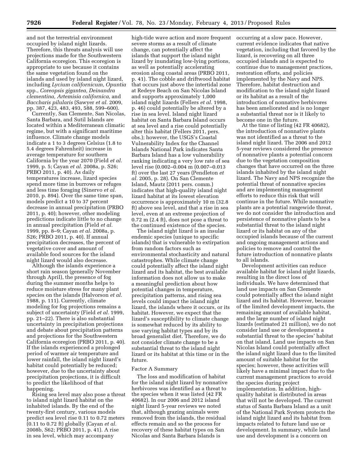and not the terrestrial environment occupied by island night lizards. Therefore, this threats analysis will use projections made for the Southwestern California ecoregion. This ecoregion is appropriate to use because it contains the same vegetation found on the islands and used by island night lizard, including *Lycium californicum, Opuntia*  spp., *Coreopsis gigantea, Deinandra clementina, Artemisia californica,* and *Baccharis pilularis* (Sawyer *et al.* 2009, pp. 387, 423, 483, 493, 588, 599–600).

Currently, San Clemente, San Nicolas, Santa Barbara, and Sutil Islands are located within a Mediterranean climatic regime, but with a significant maritime influence. Climate change models indicate a 1 to 3 degrees Celsius (1.8 to 5.4 degrees Fahrenheit) increase in average temperature for southern California by the year 2070 (Field *et al.*  1999, p. 5; Cayan *et al.* 2008a, p. S26; PRBO 2011, p. 40). As daily temperatures increase, lizard species spend more time in burrows or refuges and less time foraging (Sinervo *et al.*  2010, p. 894). Over the same time span, models predict a 10 to 37 percent decrease in annual precipitation (PRBO 2011, p. 40); however, other modeling predictions indicate little to no change in annual precipitation (Field *et al.*  1999, pp. 8–9; Cayan *et al.* 2008a, p. S26; PRBO 2011, p. 40). If annual precipitation decreases, the percent of vegetative cover and amount of available food sources for the island night lizard would also decrease.

Although the islands experience a short rain season (generally November through April), the presence of fog during the summer months helps to reduce moisture stress for many plant species on the islands (Halvorson *et al.*  1988, p. 111). Currently, climate modeling for fog projections remains a subject of uncertainty (Field *et al.* 1999, pp. 21–22). There is also substantial uncertainty in precipitation projections and debate about precipitation patterns and projections for the Southwestern California ecoregion (PRBO 2011, p. 40). If the islands experienced a prolonged period of warmer air temperature and lower rainfall, the island night lizard's habitat could potentially be reduced; however, due to the uncertainty about precipitation projections, it is difficult to predict the likelihood of that happening.

Rising sea level may also pose a threat to island night lizard habitat on the inhabited islands. By the end of the twenty-first century, various models predict sea level rise 0.11 to 0.72 meters (0.11 to 0.72 ft) globally (Cayan *et al.*  2008b, S62; PRBO 2011, p. 41). A rise in sea level, which may accompany

high-tide wave action and more frequent severe storms as a result of climate change, can potentially affect the islands that support the island night lizard by inundating low-lying portions, as well as potentially accelerating erosion along coastal areas (PRBO 2011, p. 41). The cobble and driftwood habitat that occurs just above the intertidal zone at Redeye Beach on San Nicolas Island and supports approximately 1,000 island night lizards (Fellers *et al.* 1998, p. 46) could potentially be altered by a rise in sea level. Island night lizard habitat on Santa Barbara Island occurs at sea level and a rise could potentially alter this habitat (Fellers 2011, pers. obs.); however, the USGS's Coastal Vulnerability Index for the Channel Islands National Park indicates Santa Barbara Island has a low vulnerability ranking indicating a very low rate of sea level rise (0.002–0.004 m (0.007–0.013 ft) over the last 27 years (Pendleton *et al.* 2005, p. 28). On San Clemente Island, Mautz (2011 pers. comm.) indicates that high-quality island night lizard habitat at its lowest elevation occurrence is approximately 10 m (32.8 ft) above sea level, and that a rise in sea level, even at an extreme projection of 0.72 m (2.4 ft), does not pose a threat to the continued existence of the species.

The island night lizard is an insular endemic species (unique to specific islands) that is vulnerable to extirpation from random factors such as environmental stochasticity and natural catastrophes. While climate change could potentially affect the island night lizard and its habitat, the best available information does not allow us to make a meaningful prediction about how potential changes in temperature, precipitation patterns, and rising sea levels could impact the island night lizard, the islands where it occurs, or its habitat. However, we expect that the lizard's susceptibility to climate change is somewhat reduced by its ability to use varying habitat types and by its broad generalist diet. Therefore, we do not consider climate change to be a substantial threat to the island night lizard or its habitat at this time or in the future.

### Factor A Summary

The loss and modification of habitat for the island night lizard by nonnative herbivores was identified as a threat to the species when it was listed (42 FR 40682). In our 2006 and 2012 island night lizard 5-year reviews we noted that, although grazing animals were removed from the islands, the residual effects remain and so the process for recovery of these habitat types on San Nicolas and Santa Barbara Islands is

occurring at a slow pace. However, current evidence indicates that native vegetation, including that favored by the lizard, is recovering on all three occupied islands and is expected to continue due to management practices, restoration efforts, and policies implemented by the Navy and NPS. Therefore, habitat destruction and modification to the island night lizard or its habitat as a result of the introduction of nonnative herbivores has been ameliorated and is no longer a substantial threat nor is it likely to become one in the future.

At the time of listing (42 FR 40682), the introduction of nonnative plants was not identified as a threat to the island night lizard. The 2006 and 2012 5-year reviews considered the presence of nonnative plants a potential concern due to the vegetation composition changes that have occurred on the three islands inhabited by the island night lizard. The Navy and NPS recognize the potential threat of nonnative species and are implementing management efforts to reduce this risk that will continue in the future. While nonnative plants are a potential rangewide threat, we do not consider the introduction and persistence of nonnative plants to be a substantial threat to the island night lizard or its habitat on any of the occupied islands because of the current and ongoing management actions and policies to remove and control the future introduction of nonnative plants to all islands.

Development activities can reduce available habitat for island night lizards, resulting in the direct loss of individuals. We have determined that land use impacts on San Clemente could potentially affect the island night lizard and its habitat. However, because of the limited development impacts, the remaining amount of available habitat, and the large number of island night lizards (estimated 21 million), we do not consider land use or development a substantial threat to the species' habitat on that island. Land use impacts on San Nicolas Island could potentially affect the island night lizard due to the limited amount of suitable habitat for the species; however, these activities will likely have a minimal impact due to the current management practices to avoid the species during project implementation. In addition, highquality habitat is distributed in areas that will not be developed. The current status of Santa Barbara Island as a unit of the National Park System protects the island night lizard and its habitat from impacts related to future land use or development. In summary, while land use and development is a concern on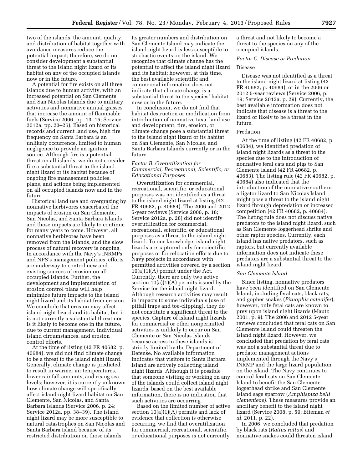two of the islands, the amount, quality, and distribution of habitat together with avoidance measures reduce the potential impact; therefore, we do not consider development a substantial threat to the island night lizard or its habitat on any of the occupied islands now or in the future.

A potential for fire exists on all three islands due to human activity, with an increased potential on San Clemente and San Nicolas Islands due to military activities and nonnative annual grasses that increase the amount of flammable fuels (Service 2006, pp. 13–15; Service 2012a, pp. 23–26). Based on historical records and current land use, high fire frequency on Santa Barbara is an unlikely occurrence, limited to human negligence to provide an ignition source. Although fire is a potential threat on all islands, we do not consider fire a substantial threat to the island night lizard or its habitat because of ongoing fire management policies, plans, and actions being implemented on all occupied islands now and in the future.

Historical land use and overgrazing by nonnative herbivores exacerbated the impacts of erosion on San Clemente, San Nicolas, and Santa Barbara Islands and those impacts are likely to continue for many years to come. However, all nonnative herbivores have been removed from the islands, and the slow process of natural recovery is ongoing. In accordance with the Navy's INRMPs and NPS's management policies, efforts are underway to control new and existing sources of erosion on all occupied islands. Further, the development and implementation of erosion control plans will help minimize future impacts to the island night lizard and its habitat from erosion. We conclude that erosion may affect island night lizard and its habitat, but it is not currently a substantial threat nor is it likely to become one in the future, due to current management, individual island circumstances, and erosion control efforts.

At the time of listing (42 FR 40682, p. 40684), we did not find climate change to be a threat to the island night lizard. Generally, climate change is predicted to result in warmer air temperatures, lower rainfall amounts, and rising sea levels; however, it is currently unknown how climate change will specifically affect island night lizard habitat on San Clemente, San Nicolas, and Santa Barbara Islands (Service 2006, p. 24; Service 2012a, pp. 38–39). The island night lizard may be more susceptible to natural catastrophes on San Nicolas and Santa Barbara Island because of its restricted distribution on those islands.

Its greater numbers and distribution on San Clemente Island may indicate the island night lizard is less susceptible to stochastic events on the island. We recognize that climate change has the potential to affect the island night lizard and its habitat; however, at this time, the best available scientific and commercial information does not indicate that climate change is a substantial threat to the species' habitat now or in the future.

In conclusion, we do not find that habitat destruction or modification from introduction of nonnative taxa, land use and development, fire, erosion, or climate change pose a substantial threat to the island night lizard or its habitat on San Clemente, San Nicolas, and Santa Barbara Islands currently or in the future.

# *Factor B. Overutilization for Commercial, Recreational, Scientific, or Educational Purposes*

Overutilization for commercial, recreational, scientific, or educational purposes was not identified as a threat to the island night lizard at listing (42 FR 40682, p. 40684). The 2006 and 2012 5-year reviews (Service 2006, p. 18; Service 2012a, p. 28) did not identify overutilization for commercial, recreational, scientific, or educational purposes as a threat to the island night lizard. To our knowledge, island night lizards are captured only for scientific purposes or for relocation efforts due to Navy projects in accordance with permitted activities covered by a section 10(a)(1)(A) permit under the Act. Currently, there are only two active section 10(a)(1)(A) permits issued by the Service for the island night lizard. Although research activities may result in impacts to some individuals (use of pitfall traps and toe-clipping), they do not constitute a significant threat to the species. Capture of island night lizards for commercial or other nonpermitted activities is unlikely to occur on San Clemente or San Nicolas Islands because access to these islands is strictly limited by the Department of Defense. No available information indicates that visitors to Santa Barbara Island are actively collecting island night lizards. Although it is possible that someone visiting or working on any of the islands could collect island night lizards, based on the best available information, there is no indication that such activities are occurring.

Based on the limited number of active section  $10(a)(1)(A)$  permits and lack of evidence that collection is otherwise occurring, we find that overutilization for commercial, recreational, scientific, or educational purposes is not currently

a threat and not likely to become a threat to the species on any of the occupied islands.

# *Factor C. Disease or Predation*

# Disease

Disease was not identified as a threat to the island night lizard at listing (42 FR 40682, p. 40684), or in the 2006 or 2012 5-year reviews (Service 2006, p. 19; Service 2012a, p. 29). Currently, the best available information does not indicate that disease is a threat to the lizard or likely to be a threat in the future.

# Predation

At the time of listing (42 FR 40682, p. 40684), we identified predation of island night lizards as a threat to the species due to the introduction of nonnative feral cats and pigs to San Clemente Island (42 FR 40682, p. 40683). The listing rule (42 FR 40682, p. 40684) also indicated that the introduction of the nonnative southern alligator lizard to San Nicolas Island might pose a threat to the island night lizard through depredation or increased competition (42 FR 40682, p. 40684). The listing rule does not discuss native predators to the island night lizard, such as San Clemente loggerhead shrike and other raptor species. Currently, each island has native predators, such as raptors, but currently available information does not indicate these predators are a substantial threat to the island night lizard.

#### *San Clemente Island*

Since listing, nonnative predators have been identified on San Clemente Island, including feral cats, black rats, and gopher snakes (*Pituophis catenifer*); however, only feral cats are known to prey upon island night lizards (Mautz 2001, p. 9). The 2006 and 2012 5-year reviews concluded that feral cats on San Clemente Island could threaten the island night lizard. However, we concluded that predation by feral cats was not a substantial threat due to predator management actions implemented through the Navy's INRMP and the large lizard population on the island. The Navy continues to control feral cats on San Clemente Island to benefit the San Clemente loggerhead shrike and San Clemente Island sage sparrow (*Amphispiza belli clementeae).* These measures provide an ancillary benefit to the island night lizard (Service 2008, p. 59; Biteman *et al.* 2011, p. 22).

In 2006, we concluded that predation by black rats (*Rattus rattus*) and nonnative snakes could threaten island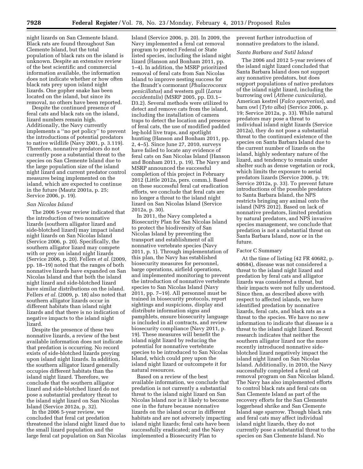night lizards on San Clemente Island. Black rats are found throughout San Clemente Island, but the total population of black rats on the island is unknown. Despite an extensive review of the best scientific and commercial information available, the information does not indicate whether or how often black rats prey upon island night lizards. One gopher snake has been located on the island, but since its removal, no others have been reported.

Despite the continued presence of feral cats and black rats on the island, lizard numbers remain high. Additionally, the Navy currently implements a ''no pet policy'' to prevent the introductions of potential predators to native wildlife (Navy 2001, p. 3.119). Therefore, nonnative predators do not currently pose a substantial threat to the species on San Clemente Island due to the large population size of the island night lizard and current predator control measures being implemented on the island, which are expected to continue in the future (Mautz 2001a, p. 25; Service 2006, p. 19).

# *San Nicolas Island*

The 2006 5-year review indicated that the introduction of two nonnative lizards (southern alligator lizard and side-blotched lizard) may impact island night lizards on San Nicolas Island (Service 2006, p. 20). Specifically, the southern alligator lizard may compete with or prey on island night lizards (Service 2006, p. 20). Fellers *et al.* (2009, pp. 18–19) noted that the ranges of both nonnative lizards have expanded on San Nicolas Island and that both the island night lizard and side-blotched lizard have similar distributions on the island. Fellers *et al.* (2009, p. 18) also noted that southern alligator lizards occur in different habitats than island night lizards and that there is no indication of negative impacts to the island night lizard.

Despite the presence of these two nonnative lizards, a review of the best available information does not indicate that predation is occurring. No record exists of side-blotched lizards preying upon island night lizards. In addition, the southern alligator lizard generally occupies different habitats than the island night lizard. Therefore, we conclude that the southern alligator lizard and side-blotched lizard do not pose a substantial predatory threat to the island night lizard on San Nicolas Island (Service 2012a, p. 32).

In the 2006 5-year review, we concluded that feral cat predation threatened the island night lizard due to the small lizard population and the large feral cat population on San Nicolas

Island (Service 2006, p. 20). In 2009, the Navy implemented a feral cat removal program to protect Federal or State listed species, including the island night lizard (Hanson and Bonham 2011, pp. 1–4). In addition, the MSRP prioritized removal of feral cats from San Nicolas Island to improve nesting success for the Brandt's cormorant (*Phalacrocorax penicillatus*) and western gull (*Larus occidentalis*) (MSRP 2005, pp. D3.1– D3.2). Several methods were utilized to detect and remove cats from the island, including the installation of camera traps to detect the location and presence of feral cats, the use of modified padded leg-hold live traps, and spotlight hunting (Hanson and Bonham 2011, pp. 2, 4–5). Since June 27, 2010, surveys have failed to locate any evidence of feral cats on San Nicolas Island (Hanson and Bonham 2011, p. 19). The Navy and MSRP announced the successful completion of this project in February 2012 (Little 2012a, pers. comm.). Based on these successful feral cat eradication efforts, we conclude that feral cats are no longer a threat to the island night lizard on San Nicolas Island (Service 2012a, p. 30).

In 2011, the Navy completed a Biosecurity Plan for San Nicolas Island to protect the biodiversity of San Nicolas Island by preventing the transport and establishment of all nonnative vertebrate species (Navy 2011, p. 1). Through implementation of this plan, the Navy has established biosecurity measures for personnel, barge operations, airfield operations, and implemented monitoring to prevent the introduction of nonnative vertebrate species to San Nicolas Island (Navy 2011, pp. 7–19). All personnel must be trained in biosecurity protocols, report sightings and suspicions, display and distribute information signs and pamphlets, ensure biosecurity language is included in all contracts, and review biosecurity compliance (Navy 2011, p. 19). These measures will benefit the island night lizard by reducing the potential for nonnative vertebrate species to be introduced to San Nicolas Island, which could prey upon the island night lizard or outcompete it for natural resources.

Based on a review of the best available information, we conclude that predation is not currently a substantial threat to the island night lizard on San Nicolas Island nor is it likely to become one in the future because nonnative lizards on the island occur in different habitats and are not adversely impacting island night lizards; feral cats have been successfully eradicated; and the Navy implemented a Biosecurity Plan to

prevent further introduction of nonnative predators to the island.

#### *Santa Barbara and Sutil Island*

The 2006 and 2012 5-year reviews of the island night lizard concluded that Santa Barbara Island does not support any nonnative predators, but does support populations of native predators of the island night lizard, including the burrowing owl (*Athene cunicularia*), American kestrel (*Falco sparverius*), and barn owl (*Tyto alba*) (Service 2006, p. 19; Service 2012a, p. 33). While natural predators may pose a threat to individual island night lizards (Service 2012a), they do not pose a substantial threat to the continued existence of the species on Santa Barbara Island due to the current number of lizards on the island, highly sedentary nature of the lizard, and tendency to remain under shelter such as dense vegetation or rock, which limits the exposure to aerial predators lizards (Service 2006, p. 19; Service 2012a, p. 33). To prevent future introductions of the possible predators to Santa Barbara Island, the NPS restricts bringing any animal onto the island (NPS 2012). Based on lack of nonnative predators, limited predation by natural predators, and NPS invasive species management, we conclude that predation is not a substantial threat on Santa Barbara Island, now or in the future.

#### Factor C Summary

At the time of listing (42 FR 40682, p. 40684), disease was not considered a threat to the island night lizard and predation by feral cats and alligator lizards was considered a threat, but their impacts were not fully understood. Since then, as described above with respect to affected islands, we have identified predation by nonnative lizards, feral cats, and black rats as a threat to the species. We have no new information to indicate that disease is a threat to the island night lizard. Recent research indicates that neither the southern alligator lizard nor the more recently introduced nonnative sideblotched lizard negatively impact the island night lizard on San Nicolas Island. Additionally, in 2010, the Navy successfully completed a feral cat removal program on San Nicolas Island. The Navy has also implemented efforts to control black rats and feral cats on San Clemente Island as part of the recovery efforts for the San Clemente loggerhead shrike and San Clemente Island sage sparrow. Though black rats and feral cats may affect individual island night lizards, they do not currently pose a substantial threat to the species on San Clemente Island. No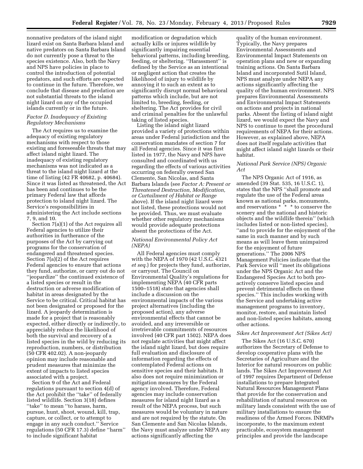nonnative predators of the island night lizard exist on Santa Barbara Island and native predators on Santa Barbara Island do not currently pose a threat to the species existence. Also, both the Navy and NPS have policies in place to control the introduction of potential predators, and such efforts are expected to continue in the future. Therefore, we conclude that disease and predation are not substantial threats to the island night lizard on any of the occupied islands currently or in the future.

# *Factor D. Inadequacy of Existing Regulatory Mechanisms*

The Act requires us to examine the adequacy of existing regulatory mechanisms with respect to those existing and foreseeable threats that may affect island night lizard. The inadequacy of existing regulatory mechanisms was not indicated as a threat to the island night lizard at the time of listing (42 FR 40682, p. 40684). Since it was listed as threatened, the Act has been and continues to be the primary Federal law that affords protection to island night lizard. The Service's responsibilities in administering the Act include sections 7, 9, and 10.

Section 7(a)(1) of the Act requires all Federal agencies to utilize their authorities in furtherance of the purposes of the Act by carrying out programs for the conservation of endangered and threatened species. Section 7(a)(2) of the Act requires Federal agencies to ensure that actions they fund, authorize, or carry out do not ''jeopardize'' the continued existence of a listed species or result in the destruction or adverse modification of habitat in areas designated by the Service to be critical. Critical habitat has not been designated or proposed for the lizard. A jeopardy determination is made for a project that is reasonably expected, either directly or indirectly, to appreciably reduce the likelihood of both the survival and recovery of a listed species in the wild by reducing its reproduction, numbers, or distribution (50 CFR 402.02). A non-jeopardy opinion may include reasonable and prudent measures that minimize the extent of impacts to listed species associated with a project.

Section 9 of the Act and Federal regulations pursuant to section 4(d) of the Act prohibit the ''take'' of federally listed wildlife. Section 3(18) defines ''take'' to mean ''to harass, harm, pursue, hunt, shoot, wound, kill, trap, capture, or collect, or to attempt to engage in any such conduct.'' Service regulations (50 CFR 17.3) define ''harm'' to include significant habitat

modification or degradation which actually kills or injures wildlife by significantly impairing essential behavioral patterns, including breeding, feeding, or sheltering. "Harassment" is defined by the Service as an intentional or negligent action that creates the likelihood of injury to wildlife by annoying it to such an extent as to significantly disrupt normal behavioral patterns which include, but are not limited to, breeding, feeding, or sheltering. The Act provides for civil and criminal penalties for the unlawful taking of listed species.

Listing the island night lizard provided a variety of protections within areas under Federal jurisdiction and the conservation mandates of section 7 for all Federal agencies. Since it was first listed in 1977, the Navy and NPS have consulted and coordinated with us regarding the effects of various activities occurring on federally owned San Clemente, San Nicolas, and Santa Barbara Islands (see *Factor A: Present or Threatened Destruction, Modification, or Curtailment of Habitat or Range*  above). If the island night lizard were not listed, these protections would not be provided. Thus, we must evaluate whether other regulatory mechanisms would provide adequate protections absent the protections of the Act.

# *National Environmental Policy Act (NEPA)*

All Federal agencies must comply with the NEPA of 1970 (42 U.S.C. 4321 *et seq.*) for projects they fund, authorize, or carryout. The Council on Environmental Quality's regulations for implementing NEPA (40 CFR parts 1500–1518) state that agencies shall include a discussion on the environmental impacts of the various project alternatives (including the proposed action), any adverse environmental effects that cannot be avoided, and any irreversible or irretrievable commitments of resources involved (40 CFR part 1502). NEPA does not regulate activities that might affect the island night lizard, but does require full evaluation and disclosure of information regarding the effects of contemplated Federal actions on sensitive species and their habitats. It also does not require minimization or mitigation measures by the Federal agency involved. Therefore, Federal agencies may include conservation measures for island night lizard as a result of the NEPA process, but such measures would be voluntary in nature and are not required by the statute. On San Clemente and San Nicolas Islands, the Navy must analyze under NEPA any actions significantly affecting the

quality of the human environment. Typically, the Navy prepares Environmental Assessments and Environmental Impact Statements on operation plans and new or expanding training actions. On Santa Barbara Island and incorporated Sutil Island, NPS must analyze under NEPA any actions significantly affecting the quality of the human environment. NPS prepares Environmental Assessments and Environmental Impact Statements on actions and projects in national parks. Absent the listing of island night lizard, we would expect the Navy and NPS to continue to meet the procedural requirements of NEPA for their actions. However, as explained above, NEPA does not itself regulate activities that might affect island night lizards or their habitat.

# *National Park Service (NPS) Organic Act*

The NPS Organic Act of 1916, as amended (39 Stat. 535, 16 U.S.C. 1), states that the NPS ''shall promote and regulate the use of the Federal areas known as national parks, monuments, and reservations \* \* \* to conserve the scenery and the national and historic objects and the wildlife therein'' (which includes listed or non-listed species), ''and to provide for the enjoyment of the same in such manner and by such means as will leave them unimpaired for the enjoyment of future generations.'' The 2006 NPS Management Policies indicate that the Park Service will ''meet its obligations under the NPS Organic Act and the Endangered Species Act to both proactively conserve listed species and prevent detrimental effects on these species.'' This includes working with the Service and undertaking active management programs to inventory, monitor, restore, and maintain listed and non-listed species habitats, among other actions.

# *Sikes Act Improvement Act (Sikes Act)*

The Sikes Act (16 U.S.C. 670) authorizes the Secretary of Defense to develop cooperative plans with the Secretaries of Agriculture and the Interior for natural resources on public lands. The Sikes Act Improvement Act of 1997 requires Department of Defense installations to prepare Integrated Natural Resources Management Plans that provide for the conservation and rehabilitation of natural resources on military lands consistent with the use of military installations to ensure the readiness of the Armed Forces. INRMPs incorporate, to the maximum extent practicable, ecosystem management principles and provide the landscape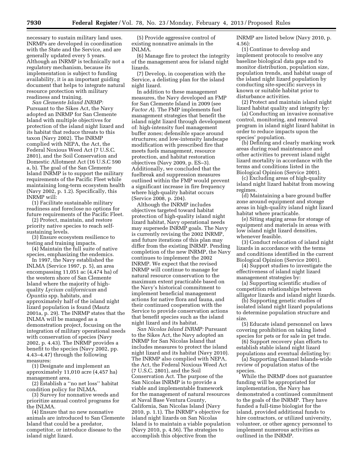necessary to sustain military land uses. INRMPs are developed in coordination with the State and the Service, and are generally updated every 5 years. Although an INRMP is technically not a regulatory mechanism, because its implementation is subject to funding availability, it is an important guiding document that helps to integrate natural resource protection with military readiness and training.

*San Clemente Island INRMP:*  Pursuant to the Sikes Act, the Navy adopted an INRMP for San Clemente Island with multiple objectives for protection of the island night lizard and its habitat that reduce threats to this taxon (Navy 2002). The INRMP complied with NEPA, the Act, the Federal Noxious Weed Act (7 U.S.C. 2801), and the Soil Conservation and Domestic Allotment Act (16 U.S.C 590 a, b). The goal of the San Clemente Island INRMP is to support the military requirements of the Pacific Fleet while maintaining long-term ecosystem health (Navy 2002, p. 1.2). Specifically, this INRMP will:

(1) Facilitate sustainable military readiness and foreclose no options for future requirements of the Pacific Fleet.

(2) Protect, maintain, and restore priority native species to reach selfsustaining levels.

(3) Ensure ecosystem resilience to testing and training impacts.

(4) Maintain the full suite of native species, emphasizing the endemics.

In 1997, the Navy established the INLMA (Service 1997, p. 5), an area encompassing 11,051 ac (4,474 ha) of the western shore of San Clemente Island where the majority of highquality *Lycium californicum* and *Opuntia* spp. habitats, and approximately half of the island night lizard population is found (Mautz 2001a, p. 29). The INRMP states that the INLMA will be managed as a demonstration project, focusing on the integration of military operational needs with conservation of species (Navy 2002, p. 4.43). The INRMP provides a benefit to the species (Navy 2002, pp. 4.43–4.47) through the following measures:

(1) Designate and implement an approximately 11,010 acre (4,457 ha) management area.

(2) Establish a ''no net loss'' habitat condition policy for INLMA.

(3) Survey for nonnative weeds and prioritize annual control programs for the INLMA.

(4) Ensure that no new nonnative animals are introduced to San Clemente Island that could be a predator, competitor, or introduce disease to the island night lizard.

(5) Provide aggressive control of existing nonnative animals in the INLMA.

(6) Manage fire to protect the integrity of the management area for island night lizards.

(7) Develop, in cooperation with the Service, a delisting plan for the island night lizard.

In addition to these management measures, the Navy developed an FMP for San Clemente Island in 2009 (see *Factor A*). The FMP implements fuel management strategies that benefit the island night lizard through development of: high-intensity fuel management buffer zones; defensible space around structures; and low-intensity landscape modification with prescribed fire that meets fuels management, resource protection, and habitat restoration objectives (Navy 2009, p. ES–3). Additionally, we concluded that the fuelbreak and suppression measures outlined within the FMP would prevent a significant increase in fire frequency where high-quality habitat occurs (Service 2008, p. 204).

Although the INRMP includes objectives targeted toward habitat protection of high-quality island night lizard habitat, Navy operational needs may supersede INRMP goals. The Navy is currently revising the 2002 INRMP, and future iterations of this plan may differ from the existing INRMP. Pending completion of the new INRMP, the Navy continues to implement the 2002 INRMP. We expect that the revised INRMP will continue to manage for natural resource conservation to the maximum extent practicable based on the Navy's historical commitment to implement beneficial management actions for native flora and fauna, and their continued cooperation with the Service to provide conservation actions that benefit species such as the island night lizard and its habitat.

*San Nicolas Island INRMP:* Pursuant to the Sikes Act, the Navy adopted an INRMP for San Nicolas Island that includes measures to protect the island night lizard and its habitat (Navy 2010). The INRMP also complied with NEPA, the Act, the Federal Noxious Weed Act (7 U.S.C. 2801), and the Soil Conservation Act. The purpose of the San Nicolas INRMP is to provide a viable and implementable framework for the management of natural resources at Naval Base Ventura County, California, San Nicolas Island (Navy 2010, p. 1.1). The INRMP's objective for island night lizards on San Nicolas Island is to maintain a viable population (Navy 2010, p. 4.56). The strategies to accomplish this objective from the

INRMP are listed below (Navy 2010, p. 4.56):

(1) Continue to develop and implement protocols to resolve any baseline biological data gaps and to monitor distribution, population size, population trends, and habitat usage of the island night lizard population by conducting site-specific surveys in known or suitable habitat prior to disturbance activities.

(2) Protect and maintain island night lizard habitat quality and integrity by:

(a) Conducting an invasive nonnative control, monitoring, and removal program in island night lizard habitat in order to reduce impacts upon the species' population.

(b) Defining and clearly marking work areas during road maintenance and other activities to prevent island night lizard mortality in accordance with the terms and conditions listed in the Biological Opinion (Service 2001).

(c) Excluding areas of high-quality island night lizard habitat from mowing regimes.

(d) Maintaining a bare ground buffer zone around equipment and storage areas in high-quality island night lizard habitat where practicable.

(e) Siting staging areas for storage of equipment and materials in areas with low island night lizard densities, whenever feasible.

(3) Conduct relocation of island night lizards in accordance with the terms and conditions identified in the current Biological Opinion (Service 2001).

(4) Support studies to investigate the effectiveness of island night lizard management strategies by:

(a) Supporting scientific studies of competition relationships between alligator lizards and island night lizards.

(b) Supporting genetic studies of isolated island night lizard populations to determine population structure and size.

(5) Educate island personnel on laws covering prohibition on taking listed species for pets or for sale in pet trade.

(6) Support recovery plan efforts to establish stable island night lizard populations and eventual delisting by:

(a) Supporting Channel Islands-wide review of population status of the species.

While the INRMP does not guarantee funding will be appropriated for implementation, the Navy has demonstrated a continued commitment to the goals of the INRMP. They have funded a full-time biologist for the island, provided additional funds to hire contractors, or utilized university, volunteer, or other agency personnel to implement numerous activities as outlined in the INRMP.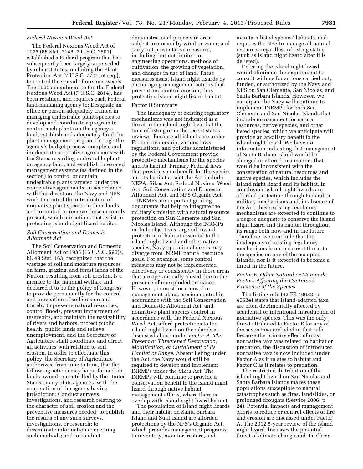# *Federal Noxious Weed Act*

The Federal Noxious Weed Act of 1975 (88 Stat. 2148, 7 U.S.C. 2801) established a Federal program that has subsequently been largely superseded by other statutes, including the Plant Protection Act (7 U.S.C. 7701, et seq.), to control the spread of noxious weeds. The 1990 amendment to the the Federal Noxious Weed Act (7 U.S.C. 2814), has been retained, and requires each Federal land-managing agency to: Designate an office or person adequately trained in managing undesirable plant species to develop and coordinate a program to control such plants on the agency's land; establish and adequately fund this plant management program through the agency's budget process; complete and implement cooperative agreements with the States regarding undesirable plants on agency land; and establish integrated management systems (as defined in the section) to control or contain undesirable plants targeted under the cooperative agreements. In accordance with this direction, the Navy and NPS work to control the introduction of nonnative plant species to the islands and to control or remove those currently present, which are actions that assist in protecting island night lizard habitat.

# *Soil Conservation and Domestic Allotment Act*

The Soil Conservation and Domestic Allotment Act of 1935 (16 U.S.C. 590(a, b), 49 Stat. 163) recognized that the wastage of soil and moisture resources on farm, grazing, and forest lands of the Nation, resulting from soil erosion, is a menace to the national welfare and declared it to be the policy of Congress to provide permanently for the control and prevention of soil erosion and thereby to preserve natural resources, control floods, prevent impairment of reservoirs, and maintain the navigability of rivers and harbors, protect public health, public lands and relieve unemployment, and the Secretary of Agriculture shall coordinate and direct all activities with relation to soil erosion. In order to effectuate this policy, the Secretary of Agriculture authorizes, from time to time, that the following actions may be performed on lands owned or controlled by the United States or any of its agencies, with the cooperation of the agency having jurisdiction: Conduct surveys, investigations, and research relating to the character of soil erosion and the preventive measures needed; to publish the results of any such surveys, investigations, or research; to disseminate information concerning such methods; and to conduct

demonstrational projects in areas subject to erosion by wind or water; and carry out preventative measures, including, but not limited to, engineering operations, methods of cultivation, the growing of vegetation, and changes in use of land. These measures assist island night lizards by encouraging management actions that prevent and control erosion, thus protecting island night lizard habitat.

#### Factor D Summary

The inadequacy of existing regulatory mechanisms was not indicated as a threat to the island night lizard at the time of listing or in the recent status reviews. Because all islands are under Federal ownership, various laws, regulations, and policies administered by the Federal Government provide protective mechanisms for the species and its habitat. Primary Federal laws that provide some benefit for the species and its habitat absent the Act include NEPA, Sikes Act, Federal Noxious Weed Act, Soil Conservation and Domestic Allotment Act, and NPS Organic Act.

INRMPs are important guiding documents that help to integrate the military's mission with natural resource protection on San Clemente and San Nicolas Island. Although the INRMPs include objectives targeted toward protection of habitat essential to the island night lizard and other native species, Navy operational needs may diverge from INRMP natural resource goals. For example, some control measures may not be implemented effectively or consistently in those areas that are operationally closed due to the presence of unexploded ordnance. However, in most locations, fire management plans, erosion control in accordance with the Soil Conservation and Domestic Allotment Act, and nonnative plant species control in accordance with the Federal Noxious Weed Act, afford protections to the island night lizard on the islands as discussed above under *Factor A. The Present or Threatened Destruction, Modification, or Curtailment of Its Habitat or Range.* Absent listing under the Act, the Navy would still be required to develop and implement INRMPs under the Sikes Act. The INRMPs will continue to provide a conservation benefit to the island night lizard through native habitat management efforts, where there is overlap with island night lizard habitat.

The population of island night lizards and their habitat on Santa Barbara Island and Sutil Island are afforded protections by the NPS's Organic Act, which provides management programs to inventory, monitor, restore, and

maintain listed species' habitats, and requires the NPS to manage all natural resources regardless of listing status (such as island night lizard after it is delisted).

Delisting the island night lizard would eliminate the requirement to consult with us for actions carried out, funded, or authorized by the Navy and NPS on San Clemente, San Nicolas, and Santa Barbara Islands. However, we anticipate the Navy will continue to implement INRMPs for both San Clemente and San Nicolas Islands that include management for natural resources, native species, and other listed species, which we anticipate will provide an ancillary benefit to the island night lizard. We have no information indicating that management of Santa Barbara Island would be changed or altered in a manner that would be inconsistent with the conservation of natural resources and native species, which includes the island night lizard and its habitat. In conclusion, island night lizards are afforded protection through Federal or military mechanisms and, in absence of the Act, these existing regulatory mechanisms are expected to continue to a degree adequate to conserve the island night lizard and its habitat throughout its range both now and in the future. Therefore, we conclude that the inadequacy of existing regulatory mechanisms is not a current threat to the species on any of the occupied islands, nor is it expected to become a threat in the future.

# *Factor E. Other Natural or Manmade Factors Affecting the Continued Existence of the Species*

The listing rule (42 FR 40682, p. 40684) states that island-adapted taxa are often detrimentally affected by accidental or intentional introduction of nonnative species. This was the only threat attributed to Factor E for any of the seven taxa included in that rule. Because the primary effect of most nonnative taxa was related to habitat or predation, the discussion of introduced nonnative taxa is now included under Factor A as it relates to habitat and Factor C as it relates to predation.

The restricted distribution of the island night lizard on San Nicolas and Santa Barbara Islands makes these populations susceptible to natural catastrophes such as fires, landslides, or prolonged droughts (Service 2006, p. 24). Potential impacts and management efforts to reduce or control effects of fire and erosion are discussed under Factor A. The 2012 5-year review of the island night lizard discusses the potential threat of climate change and its effects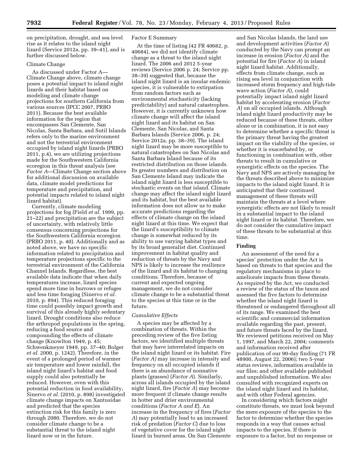on precipitation, drought, and sea level rise as it relates to the island night lizard (Service 2012a, pp. 39–41), and is further discussed below.

# Climate Change

As discussed under Factor A— Climate Change above, climate change poses a potential impact to island night lizards and their habitat based on modeling and climate change projections for southern California from various sources (IPCC 2007, PRBO 2011). Because the best available information for the region that encompasses San Clemente, San Nicolas, Santa Barbara, and Sutil Islands refers only to the marine environment and not the terrestrial environment occupied by island night lizards (PRBO 2011, p.4), we are utilizing projections made for the Southwestern California ecoregion in this threat analysis (see *Factor A*—Climate Change section above for additional discussion on available data, climate model predictions for temperature and precipitation, and potential impacts related to island night lizard habitat).

Currently, climate modeling projections for fog (Field *et al.* 1999, pp. 21–22) and precipitation are the subject of uncertainty, with relatively little consensus concerning projections for the Southwestern California ecoregion (PRBO 2011, p. 40). Additionally and as noted above, we have no specific information related to precipitation and temperature projections specific to the terrestrial environment of the California Channel Islands. Regardless, the best available data indicate that when daily temperatures increase, lizard species spend more time in burrows or refuges and less time foraging (Sinervo *et al.*  2010, p. 894). This reduced foraging time could possibly impact growth and survival of this already highly sedentary lizard. Drought conditions also reduce the arthropod populations in the spring, reducing a food source and compounding the effects of climate change (Knowlton 1949, p. 45; Schwenkmeyer 1949, pp. 37–40; Bolger *et al.* 2000, p. 1242). Therefore, in the event of a prolonged period of warmer air temperature and lower rainfall, the island night lizard's habitat and food supply could also potentially be reduced. However, even with this potential reduction in food availability, Sinervo *et al.* (2010, p. 898) investigated climate change impacts on Xantusidae and predicted that the species extinction risk for this family is zero through 2080. Therefore, we do not consider climate change to be a substantial threat to the island night lizard now or in the future.

# Factor E Summary

At the time of listing (42 FR 40682, p. 40684), we did not identify climate change as a threat to the island night lizard. The 2006 and 2012 5-year reviews (Service 2006 p. 24; Service pp. 38–39) suggested that, because the island night lizard is an insular endemic species, it is vulnerable to extirpation from random factors such as environmental stochasticity (lacking predictability) and natural catastrophes. However, it is currently unknown how climate change will affect the island night lizard and its habitat on San Clemente, San Nicolas, and Santa Barbara Islands (Service 2006, p. 24; Service 2012a, pp. 38–39). The island night lizard may be more susceptible to natural catastrophes on San Nicolas and Santa Barbara Island because of its restricted distribution on those islands. Its greater numbers and distribution on San Clemente Island may indicate the island night lizard is less susceptible to stochastic events on that island. Climate change may affect the island night lizard and its habitat, but the best available information does not allow us to make accurate predictions regarding the effects of climate change on the island night lizard at this time. We expect that the lizard's susceptibility to climate change is somewhat reduced by its ability to use varying habitat types and by its broad generalist diet. Continued improvement in habitat quality and reduction of threats by the Navy and NPS is likely to increase the resilience of the lizard and its habitat to changing conditions. Therefore, because of current and expected ongoing management, we do not consider climate change to be a substantial threat to the species at this time or in the future.

#### *Cumulative Effects*

A species may be affected by a combination of threats. Within the preceding review of the five listing factors, we identified multiple threats that may have interrelated impacts on the island night lizard or its habitat. Fire (*Factor A)* may increase in intensity and frequency on all occupied islands if there is an abundance of nonnative plants (grasses) (*Factor A*). Similarly, across all islands occupied by the island night lizard, fire (*Factor A*) may become more frequent if climate change results in hotter and drier environmental conditions (*Factor A and E*). An increase in the frequency of fires (*Factor A*) may potentially lead to an increased risk of predation (*Factor C*) due to loss of vegetative cover for the island night lizard in burned areas. On San Clemente

and San Nicolas Islands, the land use and development activities (*Factor A*) conducted by the Navy can prompt an increase in erosion (*Factor A*) and the potential for fire (*Factor A*) in island night lizard habitat. Additionally, effects from climate change, such as rising sea level in conjunction with increased storm frequency and high-tide wave action (*Factor A*), could potentially impact island night lizard habitat by accelerating erosion (*Factor A*) on all occupied islands. Although island night lizard productivity may be reduced because of these threats, either alone or in combination, it is not easy to determine whether a specific threat is the primary threat having the greatest impact on the viability of the species, or whether it is exacerbated by, or functioning in combination with, other threats to result in cumulative or synergistic effects on the species. The Navy and NPS are actively managing for the threats described above to minimize impacts to the island night lizard. It is anticipated that their continued management of these threats will maintain the threats at a level where synergistic effects are not likely to result in a substantial impact to the island night lizard or its habitat. Therefore, we do not consider the cumulative impact of these threats to be substantial at this time.

#### **Finding**

An assessment of the need for a species' protection under the Act is based on threats to that species and the regulatory mechanisms in place to ameliorate impacts from these threats. As required by the Act, we conducted a review of the status of the taxon and assessed the five factors to determine whether the island night lizard is threatened or endangered throughout all of its range. We examined the best scientific and commercial information available regarding the past, present, and future threats faced by the lizard. We reviewed petitions received on May 1, 1997, and March 22, 2004; comments and information received after publication of our 90-day finding (71 FR 48900, August 22, 2006); two 5-year status reviews, information available in our files; and other available published and unpublished information. We also consulted with recognized experts on the island night lizard and its habitat, and with other Federal agencies.

In considering which factors might constitute threats, we must look beyond the mere exposure of the species to the factor to determine whether the species responds in a way that causes actual impacts to the species. If there is exposure to a factor, but no response or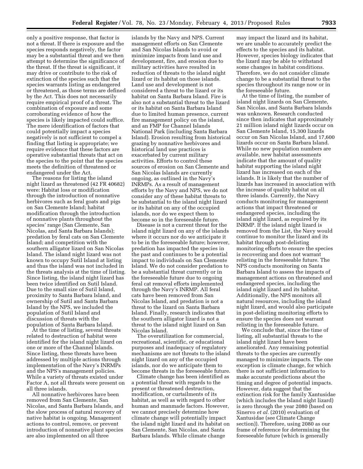only a positive response, that factor is not a threat. If there is exposure and the species responds negatively, the factor may be a substantial threat and we then attempt to determine the significance of the threat. If the threat is significant, it may drive or contribute to the risk of extinction of the species such that the species warrants listing as endangered or threatened, as those terms are defined by the Act. This does not necessarily require empirical proof of a threat. The combination of exposure and some corroborating evidence of how the species is likely impacted could suffice. The mere identification of factors that could potentially impact a species negatively is not sufficient to compel a finding that listing is appropriate; we require evidence that these factors are operative substantial threats that act on the species to the point that the species meets the definition of threatened or endangered under the Act.

The reasons for listing the island night lizard as threatened (42 FR 40682) were: Habitat loss or modification through the introduction of nonnative herbivores such as feral goats and pigs on San Clemente Island; habitat modification through the introduction of nonnative plants throughout the species' range (San Clemente, San Nicolas, and Santa Barbara Islands); predation by feral cats on San Clemente Island; and competition with the southern alligator lizard on San Nicolas Island. The island night lizard was not known to occupy Sutil Island at listing and thus the island was not included in the threats analysis at the time of listing. Since listing, the island night lizard has been twice identified on Sutil Island. Due to the small size of Sutil Island, proximity to Santa Barbara Island, and ownership of Sutil and Santa Barbara Island by the NPS, we included the population of Sutil Island and discussion of threats with the population of Santa Barbara Island.

At the time of listing, several threats related to destruction of habitat were identified for the island night lizard on one or more of the Channel Islands. Since listing, these threats have been addressed by multiple actions through implementation of the Navy's INRMPs and the NPS's management policies. While a variety of threats existed under Factor A, not all threats were present on all three islands.

All nonnative herbivores have been removed from San Clemente, San Nicolas, and Santa Barbara Islands, and the slow process of natural recovery of native habitat is ongoing. Management actions to control, remove, or prevent introduction of nonnative plant species are also implemented on all three

islands by the Navy and NPS. Current management efforts on San Clemente and San Nicolas Islands to avoid or minimize impacts from land use and development, fire, and erosion due to military activities have resulted in reduction of threats to the island night lizard or its habitat on those islands. Land use and development is not considered a threat to the lizard or its habitat on Santa Barbara Island. Fire is also not a substantial threat to the lizard or its habitat on Santa Barbara Island due to limited human presence, current fire management policy on the island, and an FMP for Channel Islands National Park (including Santa Barbara Island). Erosion resulting from historical grazing by nonnative herbivores and historical land use practices is exacerbated by current military activities. Efforts to control these sources of erosion on San Clemente and San Nicolas Islands are currently ongoing, as outlined in the Navy's INRMPs. As a result of management efforts by the Navy and NPS, we do not consider any of these habitat threats to be substantial to the island night lizard or its habitat on any of the occupied islands, nor do we expect them to become so in the foreseeable future.

Disease is not a current threat for the island night lizard on any of the islands where it occurs nor do we anticipate it to be in the foreseeable future; however, predation has impacted the species in the past and continues to be a potential impact to individuals on San Clemente Island. We do not consider predation to be a substantial threat currently or in the foreseeable future due to ongoing feral cat removal efforts implemented through the Navy's INRMP. All feral cats have been removed from San Nicolas Island, and predation is not a threat to the lizard on Santa Barbara Island. Finally, research indicates that the southern alligator lizard is not a threat to the island night lizard on San Nicolas Island.

The overutilization for commercial, recreational, scientific, or educational purposes and inadequacy of regulatory mechanisms are not threats to the island night lizard on any of the occupied islands, nor do we anticipate them to become threats in the foreseeable future.

Climate change has been identified as a potential threat with regards to the present or threatened destruction, modification, or curtailments of its habitat, as well as with regard to other human and manmade factors. However, we cannot precisely determine how climate change will potentially impact the island night lizard and its habitat on San Clemente, San Nicolas, and Santa Barbara Islands. While climate change

may impact the lizard and its habitat, we are unable to accurately predict the effects to the species and its habitat. However, species biology indicates that the lizard may be able to withstand some changes in habitat conditions. Therefore, we do not consider climate change to be a substantial threat to the species throughout its range now or in the foreseeable future.

At the time of listing, the number of island night lizards on San Clemente, San Nicolas, and Santa Barbara Islands was unknown. Research conducted since then indicates that approximately 21 million island night lizards occur on San Clemente Island, 15,300 lizards occur on San Nicolas Island, and 17,600 lizards occur on Santa Barbara Island. While no new population numbers are available, new habitat assessments indicate that the amount of quality habitat supporting the island night lizard has increased on each of the islands. It is likely that the number of lizards has increased in association with the increase of quality habitat on all three islands. Currently, the Navy conducts monitoring for management actions that impact threatened or endangered species, including the island night lizard, as required by its INRMP. If the island night lizard is removed from the List, the Navy would continue to monitor the lizard and its habitat through post-delisting monitoring efforts to ensure the species is recovering and does not warrant relisting in the foreseeable future. The NPS conducts monitoring on Santa Barbara Island to assess the impacts of management actions on threatened and endangered species, including the island night lizard and its habitat. Additionally, the NPS monitors all natural resources, including the island night lizard, and would also participate in post-delisting monitoring efforts to ensure the species does not warrant relisting in the foreseeable future.

We conclude that, since the time of listing, all substantial threats to the island night lizard have been ameliorated. Any remaining potential threats to the species are currently managed to minimize impacts. The one exception is climate change, for which there is not sufficient information to make accurate predictions about the timing and degree of potential impacts. However, data suggest that the extinction risk for the family Xantusidae (which includes the Island night lizard) is zero through the year 2080 (based on Sinervo *et al.* (2010) evaluation of Xantusidae (see Climate Change section)). Therefore, using 2080 as our frame of reference for determining the foreseeable future (which is generally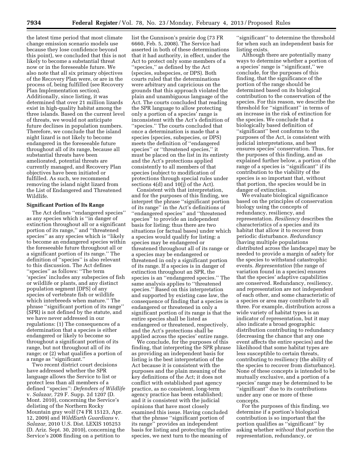the latest time period that most climate change emission scenario models use because they lose confidence beyond this point), we concluded that this is not likely to become a substantial threat now or in the foreseeable future. We also note that all six primary objectives of the Recovery Plan were, or are in the process of, being fulfilled (see Recovery Plan Implementation section). Additionally, since listing, it was determined that over 21 million lizards exist in high-quality habitat among the three islands. Based on the current level of threats, we would not anticipate future declines in population numbers. Therefore, we conclude that the island night lizard is not likely to become endangered in the foreseeable future throughout all of its range, because all substantial threats have been ameliorated, potential threats are currently managed, and Recovery Plan objectives have been initiated or fulfilled. As such, we recommend removing the island night lizard from the List of Endangered and Threatened Wildlife.

#### **Significant Portion of Its Range**

The Act defines ''endangered species'' as any species which is ''in danger of extinction throughout all or a significant portion of its range,'' and ''threatened species'' as any species which is ''likely to become an endangered species within the foreseeable future throughout all or a significant portion of its range.'' The definition of ''species'' is also relevant to this discussion. The Act defines ''species'' as follows: ''The term 'species' includes any subspecies of fish or wildlife or plants, and any distinct population segment [DPS] of any species of vertebrate fish or wildlife which interbreeds when mature.'' The phrase ''significant portion of its range'' (SPR) is not defined by the statute, and we have never addressed in our regulations: (1) The consequences of a determination that a species is either endangered or likely to become so throughout a significant portion of its range, but not throughout all of its range; or (2) what qualifies a portion of a range as ''significant.''

Two recent district court decisions have addressed whether the SPR language allows the Service to list or protect less than all members of a defined ''species'': *Defenders of Wildlife*  v. *Salazar,* 729 F. Supp. 2d 1207 (D. Mont. 2010), concerning the Service's delisting of the Northern Rocky Mountain gray wolf (74 FR 15123, Apr. 12, 2009) and *WildEarth Guardians* v. *Salazar,* 2010 U.S. Dist. LEXIS 105253 (D. Ariz. Sept. 30, 2010), concerning the Service's 2008 finding on a petition to

list the Gunnison's prairie dog (73 FR 6660, Feb. 5, 2008). The Service had asserted in both of these determinations that it had authority, in effect, under the Act to protect only some members of a ''species,'' as defined by the Act (species, subspecies, or DPS). Both courts ruled that the determinations were arbitrary and capricious on the grounds that this approach violated the plain and unambiguous language of the Act. The courts concluded that reading the SPR language to allow protecting only a portion of a species' range is inconsistent with the Act's definition of ''species.'' The courts concluded that once a determination is made that a species (species, subspecies, or DPS) meets the definition of ''endangered species'' or ''threatened species,'' it must be placed on the list in its entirety and the Act's protections applied consistently to all members of that species (subject to modification of protections through special rules under sections 4(d) and 10(j) of the Act).

Consistent with that interpretation, and for the purposes of this finding, we interpret the phrase ''significant portion of its range'' in the Act's definitions of ''endangered species'' and ''threatened species'' to provide an independent basis for listing; thus there are two situations (or factual bases) under which a species would qualify for listing: a species may be endangered or threatened throughout all of its range or a species may be endangered or threatened in only a significant portion of its range. If a species is in danger of extinction throughout an SPR, the species is an ''endangered species.'' The same analysis applies to ''threatened species.'' Based on this interpretation and supported by existing case law, the consequence of finding that a species is endangered or threatened in only a significant portion of its range is that the entire species shall be listed as endangered or threatened, respectively, and the Act's protections shall be applied across the species' entire range.

We conclude, for the purposes of this finding, that interpreting the SPR phrase as providing an independent basis for listing is the best interpretation of the Act because it is consistent with the purposes and the plain meaning of the key definitions of the Act; it does not conflict with established past agency practice, as no consistent, long-term agency practice has been established; and it is consistent with the judicial opinions that have most closely examined this issue. Having concluded that the phrase ''significant portion of its range'' provides an independent basis for listing and protecting the entire species, we next turn to the meaning of

"significant" to determine the threshold for when such an independent basis for listing exists.

Although there are potentially many ways to determine whether a portion of a species' range is ''significant,'' we conclude, for the purposes of this finding, that the significance of the portion of the range should be determined based on its biological contribution to the conservation of the species. For this reason, we describe the threshold for ''significant'' in terms of an increase in the risk of extinction for the species. We conclude that a biologically based definition of ''significant'' best conforms to the purposes of the Act, is consistent with judicial interpretations, and best ensures species' conservation. Thus, for the purposes of this finding, and as explained further below, a portion of the range of a species is ''significant'' if its contribution to the viability of the species is so important that, without that portion, the species would be in danger of extinction.

We evaluate biological significance based on the principles of conservation biology using the concepts of redundancy, resiliency, and representation. *Resiliency* describes the characteristics of a species and its habitat that allow it to recover from periodic disturbance. *Redundancy*  (having multiple populations distributed across the landscape) may be needed to provide a margin of safety for the species to withstand catastrophic events. *Representation* (the range of variation found in a species) ensures that the species' adaptive capabilities are conserved. Redundancy, resiliency, and representation are not independent of each other, and some characteristic of a species or area may contribute to all three. For example, distribution across a wide variety of habitat types is an indicator of representation, but it may also indicate a broad geographic distribution contributing to redundancy (decreasing the chance that any one event affects the entire species) and the likelihood that some habitat types are less susceptible to certain threats, contributing to resiliency (the ability of the species to recover from disturbance). None of these concepts is intended to be mutually exclusive, and a portion of a species' range may be determined to be ''significant'' due to its contributions under any one or more of these concepts.

For the purposes of this finding, we determine if a portion's biological contribution is so important that the portion qualifies as ''significant'' by asking whether *without that portion* the representation, redundancy, or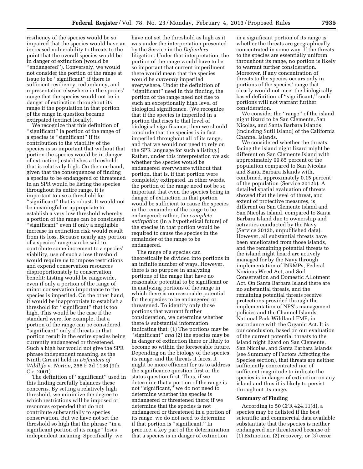resiliency of the species would be so impaired that the species would have an increased vulnerability to threats to the point that the overall species would be in danger of extinction (would be ''endangered''). Conversely, we would not consider the portion of the range at issue to be ''significant'' if there is sufficient resiliency, redundancy, and representation elsewhere in the species' range that the species would not be in danger of extinction throughout its range if the population in that portion of the range in question became extirpated (extinct locally).

We recognize that this definition of ''significant'' (a portion of the range of a species is ''significant'' if its contribution to the viability of the species is so important that without that portion the species would be in danger of extinction) establishes a threshold that is relatively high. On the one hand, given that the consequences of finding a species to be endangered or threatened in an SPR would be listing the species throughout its entire range, it is important to use a threshold for ''significant'' that is robust. It would not be meaningful or appropriate to establish a very low threshold whereby a portion of the range can be considered ''significant'' even if only a negligible increase in extinction risk would result from its loss. Because nearly any portion of a species' range can be said to contribute some increment to a species' viability, use of such a low threshold would require us to impose restrictions and expend conservation resources disproportionately to conservation benefit: Listing would be rangewide, even if only a portion of the range of minor conservation importance to the species is imperiled. On the other hand, it would be inappropriate to establish a threshold for ''significant'' that is too high. This would be the case if the standard were, for example, that a portion of the range can be considered ''significant'' only if threats in that portion result in the entire species being currently endangered or threatened. Such a high bar would not give the SPR phrase independent meaning, as the Ninth Circuit held in *Defenders of Wildlife* v. *Norton,* 258 F.3d 1136 (9th Cir. 2001).

The definition of ''significant'' used in this finding carefully balances these concerns. By setting a relatively high threshold, we minimize the degree to which restrictions will be imposed or resources expended that do not contribute substantially to species conservation. But we have not set the threshold so high that the phrase ''in a significant portion of its range'' loses independent meaning. Specifically, we

have not set the threshold as high as it was under the interpretation presented by the Service in the *Defenders*  litigation. Under that interpretation, the portion of the range would have to be so important that current imperilment there would mean that the species would be *currently* imperiled everywhere. Under the definition of ''significant'' used in this finding, the portion of the range need not rise to such an exceptionally high level of biological significance. (We recognize that if the species is imperiled in a portion that rises to that level of biological significance, then we should conclude that the species is in fact imperiled throughout all of its range, and that we would not need to rely on the SPR language for such a listing.) Rather, under this interpretation we ask whether the species would be endangered everywhere without that portion, that is, if that portion were completely extirpated. In other words, the portion of the range need not be so important that even the species being in danger of extinction in that portion would be sufficient to cause the species in the remainder of the range to be endangered; rather, the *complete extirpation* (in a hypothetical future) of the species in that portion would be required to cause the species in the remainder of the range to be endangered.

The range of a species can theoretically be divided into portions in an infinite number of ways. However, there is no purpose in analyzing portions of the range that have no reasonable potential to be significant or in analyzing portions of the range in which there is no reasonable potential for the species to be endangered or threatened. To identify only those portions that warrant further consideration, we determine whether there is substantial information indicating that: (1) The portions may be ''significant'' *and* (2) the species may be in danger of extinction there or likely to become so within the foreseeable future. Depending on the biology of the species, its range, and the threats it faces, it might be more efficient for us to address the significance question first or the status question first. Thus, if we determine that a portion of the range is not ''significant,'' we do not need to determine whether the species is endangered or threatened there; if we determine that the species is not endangered or threatened in a portion of its range, we do not need to determine if that portion is ''significant.'' In practice, a key part of the determination that a species is in danger of extinction

in a significant portion of its range is whether the threats are geographically concentrated in some way. If the threats to the species are essentially uniform throughout its range, no portion is likely to warrant further consideration. Moreover, if any concentration of threats to the species occurs only in portions of the species' range that clearly would not meet the biologically based definition of ''significant,'' such portions will not warrant further consideration.

We consider the ''range'' of the island night lizard to be San Clemente, San Nicolas, and Santa Barbara Islands (including Sutil Island) of the California Channel Islands.

We considered whether the threats facing the island night lizard might be different on San Clemente Island with approximately 99.85 percent of the population compared to San Nicolas and Santa Barbara Islands with, combined, approximately 0.15 percent of the population (Service 2012b). A detailed spatial evaluation of threats showed that the level of threat, and extent of protective measures, is different on San Clemente Island and San Nicolas Island, compared to Santa Barbara Island due to ownership and activities conducted by the Navy (Service 2012b, unpublished data). However, all substantial threats have been ameliorated from those islands, and the remaining potential threats to the island night lizard are actively managed for by the Navy through implementation of INRMPs, Federal Noxious Weed Act, and Soil Conservation and Domestic Allotment Act. On Santa Barbara Island there are no substantial threats, and the remaining potential threats receive protections provided through the implementation of NPS's management policies and the Channel Islands National Park Wildland FMP, in accordance with the Organic Act. It is our conclusion, based on our evaluation of the current potential threats to the island night lizard on San Clemente, San Nicolas, and Santa Barbara Islands (see Summary of Factors Affecting the Species section), that threats are neither sufficiently concentrated nor of sufficient magnitude to indicate the species is in danger of extinction on any island and thus it is likely to persist throughout its range.

# **Summary of Finding**

According to 50 CFR 424.11(d), a species may be delisted if the best scientific and commercial data available substantiate that the species is neither endangered nor threatened because of: (1) Extinction, (2) recovery, or (3) error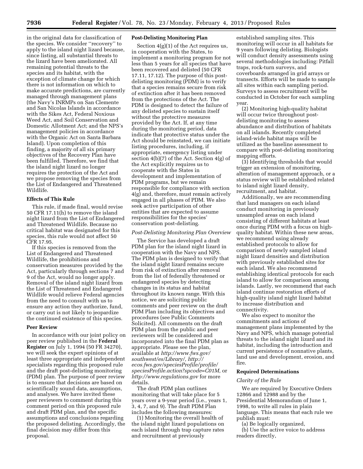in the original data for classification of the species. We consider ''recovery'' to apply to the island night lizard because, since listing, all substantial threats to the lizard have been ameliorated. All remaining potential threats to the species and its habitat, with the exception of climate change for which there is not information on which to make accurate predictions, are currently managed through management plans (the Navy's INRMPs on San Clemente and San Nicolas Islands in accordance with the Sikes Act, Federal Noxious Weed Act, and Soil Conservation and Domestic Allotment Act; and the NPS's management policies in accordance with the Organic Act on Santa Barbara Island). Upon completion of this finding, a majority of all six primary objectives of the Recovery Plan have been fulfilled. Therefore, we find that the island night lizard no longer requires the protection of the Act and we propose removing the species from the List of Endangered and Threatened Wildlife.

# **Effects of This Rule**

This rule, if made final, would revise 50 CFR 17.11(h) to remove the island night lizard from the List of Endangered and Threatened Wildlife. Because no critical habitat was designated for this species, this rule would not affect 50 CFR 17.95.

If this species is removed from the List of Endangered and Threatened Wildlife, the prohibitions and conservation measures provided by the Act, particularly through sections 7 and 9 of the Act, would no longer apply. Removal of the island night lizard from the List of Threatened and Endangered Wildlife would relieve Federal agencies from the need to consult with us to ensure any action they authorize, fund, or carry out is not likely to jeopardize the continued existence of this species.

## **Peer Review**

In accordance with our joint policy on peer review published in the **Federal Register** on July 1, 1994 (50 FR 34270), we will seek the expert opinions of at least three appropriate and independent specialists regarding this proposed rule and the draft post-delisting monitoring (PDM) plan. The purpose of peer review is to ensure that decisions are based on scientifically sound data, assumptions, and analyses. We have invited these peer reviewers to comment during this comment period on this proposed rule and draft PDM plan, and the specific assumptions and conclusions regarding the proposed delisting. Accordingly, the final decision may differ from this proposal.

# **Post-Delisting Monitoring Plan**

Section 4(g)(1) of the Act requires us, in cooperation with the States, to implement a monitoring program for not less than 5 years for all species that have been recovered and delisted (50 CFR 17.11, 17.12). The purpose of this postdelisting monitoring (PDM) is to verify that a species remains secure from risk of extinction after it has been removed from the protections of the Act. The PDM is designed to detect the failure of any delisted species to sustain itself without the protective measures provided by the Act. If, at any time during the monitoring period, data indicate that protective status under the Act should be reinstated, we can initiate listing procedures, including, if appropriate, emergency listing under section 4(b)(7) of the Act. Section 4(g) of the Act explicitly requires us to cooperate with the States in development and implementation of PDM programs, but we remain responsible for compliance with section 4(g) and, therefore, must remain actively engaged in all phases of PDM. We also seek active participation of other entities that are expected to assume responsibilities for the species' conservation post-delisting.

#### *Post-Delisting Monitoring Plan Overview*

The Service has developed a draft PDM plan for the island night lizard in cooperation with the Navy and NPS. The PDM plan is designed to verify that the island night lizard remains secure from risk of extinction after removal from the list of federally threatened or endangered species by detecting changes in its status and habitat throughout its known range. With this notice, we are soliciting public comments and peer review on the draft PDM Plan including its objectives and procedures (see Public Comments Solicited). All comments on the draft PDM plan from the public and peer reviewers will be considered and incorporated into the final PDM plan as appropriate. Please see the plan, available at *[http://www.fws.gov/](http://www.fws.gov/southwest/es/Library/)  [southwest/es/Library/,](http://www.fws.gov/southwest/es/Library/) [http://](http://ecos.fws.gov/speciesProfile/profile/speciesProfile.action?spcode=C01M)  [ecos.fws.gov/speciesProfile/profile/](http://ecos.fws.gov/speciesProfile/profile/speciesProfile.action?spcode=C01M)  speciesProfile.action?spcode=C01M,* or *<http://www.regulations.gov>* for more details.

The draft PDM plan outlines monitoring that will take place for 5 years over a 9-year period (i.e., years 1, 3, 4, 7, and 9). The draft PDM Plan includes the following measures:

(1) Monitoring the overall health of the island night lizard populations on each island through trap capture rates and recruitment at previously

established sampling sites. This monitoring will occur in all habitats for 9 years following delisting. Biologists will conduct density assessments using several methodologies including: Pitfall traps, rock-turn surveys, and coverboards arranged in grid arrays or transects. Efforts will be made to sample all sites within each sampling period. Surveys to assess recruitment will be conducted in October for each sampling year.

(2) Monitoring high-quality habitat will occur twice throughout postdelisting monitoring to assess abundance and distribution of habitats on all islands. Recently completed island-wide habitat maps will be utilized as the baseline assessment to compare with post-delisting monitoring mapping efforts.

(3) Identifying thresholds that would trigger an extension of monitoring, alteration of management approach, or a status review will be established related to island night lizard density, recruitment, and habitat.

Additionally, we are recommending that land managers on each island conduct monitoring in previously unsampled areas on each island consisting of different habitats at least once during PDM with a focus on highquality habitat. Within these new areas, we recommend using already established protocols to allow for comparison of newly sampled island night lizard densities and distribution with previously established sites for each island. We also recommend establishing identical protocols for each island to allow for comparison among islands. Lastly, we recommend that each island continue restoration efforts of high-quality island night lizard habitat to increase distribution and connectivity.

We also expect to monitor the commitments and actions of management plans implemented by the Navy and NPS, which manage potential threats to the island night lizard and its habitat, including the introduction and current persistence of nonnative plants, land use and development, erosion, and fire.

#### **Required Determinations**

#### *Clarity of the Rule*

We are required by Executive Orders 12866 and 12988 and by the Presidential Memorandum of June 1, 1998, to write all rules in plain language. This means that each rule we publish must:

(a) Be logically organized, (b) Use the active voice to address readers directly,